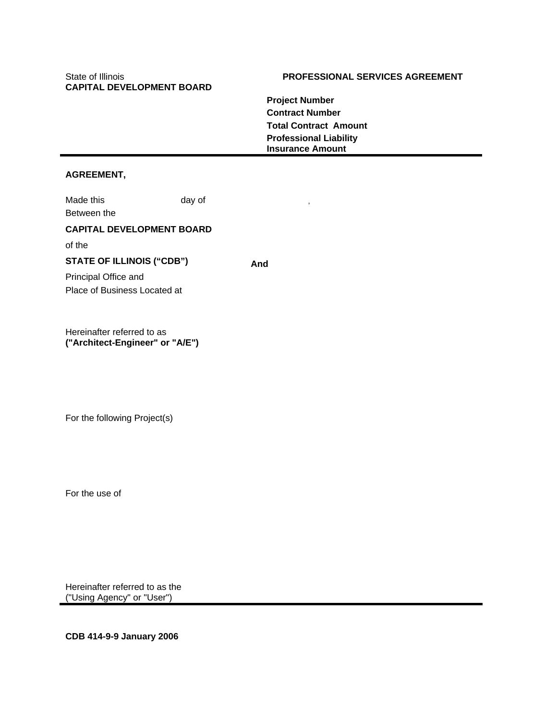# **CAPITAL DEVELOPMENT BOARD**

## State of Illinois **PROFESSIONAL SERVICES AGREEMENT**

**Project Number Contract Number Total Contract Amount Professional Liability Insurance Amount** 

## **AGREEMENT,**

Made this day of Between the

#### **CAPITAL DEVELOPMENT BOARD**

of the

## **STATE OF ILLINOIS ("CDB")** And

Principal Office and Place of Business Located at

Hereinafter referred to as **("Architect-Engineer" or "A/E")** 

For the following Project(s)

For the use of

Hereinafter referred to as the ("Using Agency" or "User")

**CDB 414-9-9 January 2006**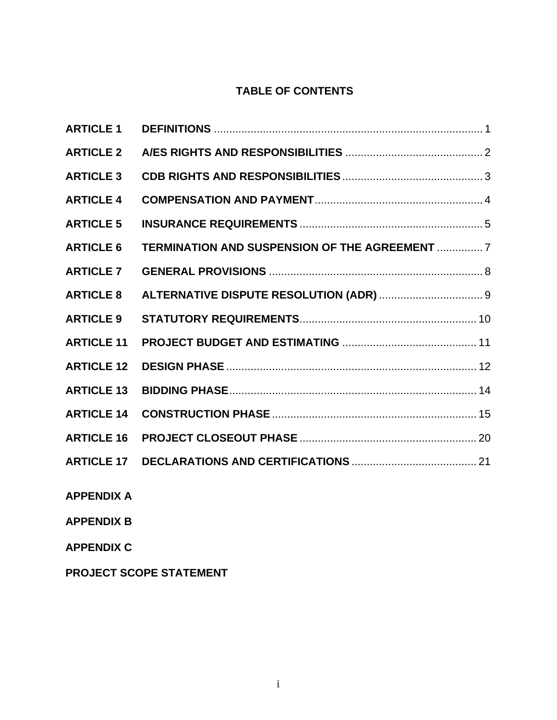## **TABLE OF CONTENTS**

| <b>ARTICLE 1</b>  |                                                |  |
|-------------------|------------------------------------------------|--|
| <b>ARTICLE 2</b>  |                                                |  |
| <b>ARTICLE 3</b>  |                                                |  |
| <b>ARTICLE 4</b>  |                                                |  |
| <b>ARTICLE 5</b>  |                                                |  |
| <b>ARTICLE 6</b>  | TERMINATION AND SUSPENSION OF THE AGREEMENT  7 |  |
| <b>ARTICLE 7</b>  |                                                |  |
| <b>ARTICLE 8</b>  |                                                |  |
| <b>ARTICLE 9</b>  |                                                |  |
| <b>ARTICLE 11</b> |                                                |  |
| <b>ARTICLE 12</b> |                                                |  |
| <b>ARTICLE 13</b> |                                                |  |
| <b>ARTICLE 14</b> |                                                |  |
| <b>ARTICLE 16</b> |                                                |  |
| <b>ARTICLE 17</b> |                                                |  |
|                   |                                                |  |

**APPENDIX A** 

**APPENDIX B** 

**APPENDIX C** 

**PROJECT SCOPE STATEMENT**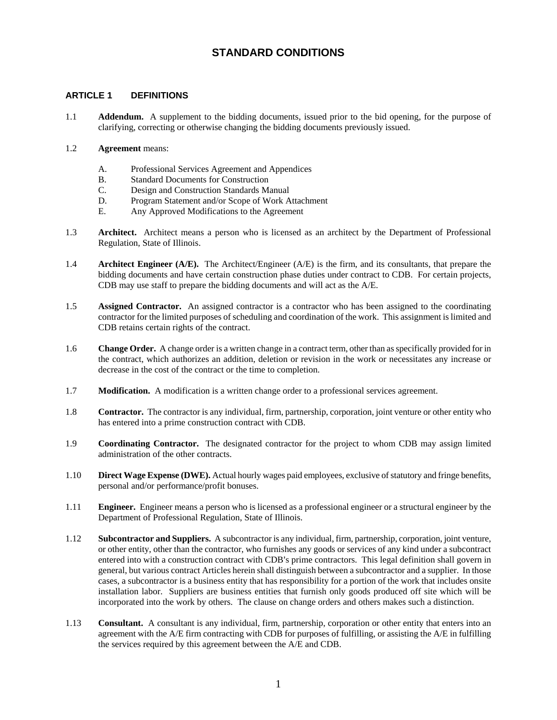## **STANDARD CONDITIONS**

#### **ARTICLE 1 DEFINITIONS**

- 1.1 **Addendum.** A supplement to the bidding documents, issued prior to the bid opening, for the purpose of clarifying, correcting or otherwise changing the bidding documents previously issued.
- 1.2 **Agreement** means:
	- A. Professional Services Agreement and Appendices
	- B. Standard Documents for Construction
	- C. Design and Construction Standards Manual
	- D. Program Statement and/or Scope of Work Attachment
	- E. Any Approved Modifications to the Agreement
- 1.3 **Architect.** Architect means a person who is licensed as an architect by the Department of Professional Regulation, State of Illinois.
- 1.4 **Architect Engineer (A/E).** The Architect/Engineer (A/E) is the firm, and its consultants, that prepare the bidding documents and have certain construction phase duties under contract to CDB. For certain projects, CDB may use staff to prepare the bidding documents and will act as the A/E.
- 1.5 **Assigned Contractor.** An assigned contractor is a contractor who has been assigned to the coordinating contractor for the limited purposes of scheduling and coordination of the work. This assignment is limited and CDB retains certain rights of the contract.
- 1.6 **Change Order.** A change order is a written change in a contract term, other than as specifically provided for in the contract, which authorizes an addition, deletion or revision in the work or necessitates any increase or decrease in the cost of the contract or the time to completion.
- 1.7 **Modification.** A modification is a written change order to a professional services agreement.
- 1.8 **Contractor.** The contractor is any individual, firm, partnership, corporation, joint venture or other entity who has entered into a prime construction contract with CDB.
- 1.9 **Coordinating Contractor.** The designated contractor for the project to whom CDB may assign limited administration of the other contracts.
- 1.10 **Direct Wage Expense (DWE).** Actual hourly wages paid employees, exclusive of statutory and fringe benefits, personal and/or performance/profit bonuses.
- 1.11 **Engineer.** Engineer means a person who is licensed as a professional engineer or a structural engineer by the Department of Professional Regulation, State of Illinois.
- 1.12 **Subcontractor and Suppliers.** A subcontractor is any individual, firm, partnership, corporation, joint venture, or other entity, other than the contractor, who furnishes any goods or services of any kind under a subcontract entered into with a construction contract with CDB's prime contractors. This legal definition shall govern in general, but various contract Articles herein shall distinguish between a subcontractor and a supplier. In those cases, a subcontractor is a business entity that has responsibility for a portion of the work that includes onsite installation labor. Suppliers are business entities that furnish only goods produced off site which will be incorporated into the work by others. The clause on change orders and others makes such a distinction.
- 1.13 **Consultant.** A consultant is any individual, firm, partnership, corporation or other entity that enters into an agreement with the  $A/E$  firm contracting with CDB for purposes of fulfilling, or assisting the  $A/E$  in fulfilling the services required by this agreement between the A/E and CDB.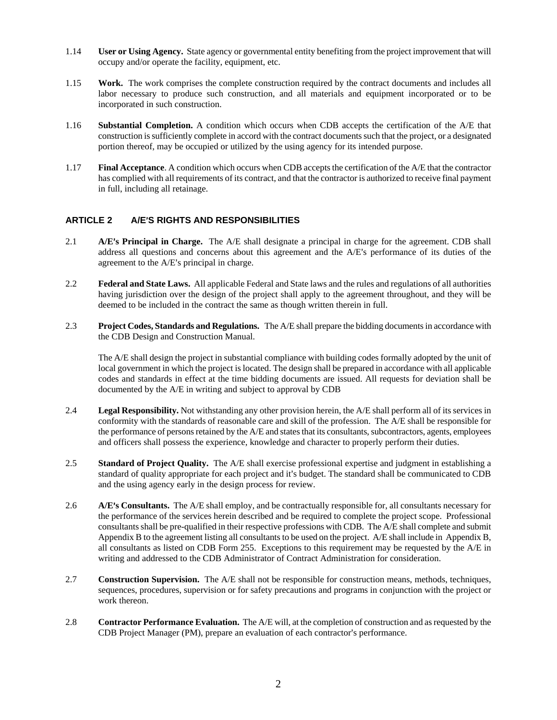- 1.14 **User or Using Agency.** State agency or governmental entity benefiting from the project improvement that will occupy and/or operate the facility, equipment, etc.
- 1.15 **Work.** The work comprises the complete construction required by the contract documents and includes all labor necessary to produce such construction, and all materials and equipment incorporated or to be incorporated in such construction.
- 1.16 **Substantial Completion.** A condition which occurs when CDB accepts the certification of the A/E that construction is sufficiently complete in accord with the contract documents such that the project, or a designated portion thereof, may be occupied or utilized by the using agency for its intended purpose.
- 1.17 **Final Acceptance**. A condition which occurs when CDB accepts the certification of the A/E that the contractor has complied with all requirements of its contract, and that the contractor is authorized to receive final payment in full, including all retainage.

## ARTICLE 2 A/E<sup>'</sup>S RIGHTS AND RESPONSIBILITIES

- 2.1 **A/E's Principal in Charge.** The A/E shall designate a principal in charge for the agreement. CDB shall address all questions and concerns about this agreement and the A/E's performance of its duties of the agreement to the  $A/E$ 's principal in charge.
- 2.2 **Federal and State Laws.** All applicable Federal and State laws and the rules and regulations of all authorities having jurisdiction over the design of the project shall apply to the agreement throughout, and they will be deemed to be included in the contract the same as though written therein in full.
- 2.3 **Project Codes, Standards and Regulations.** The A/E shall prepare the bidding documents in accordance with the CDB Design and Construction Manual.

The A/E shall design the project in substantial compliance with building codes formally adopted by the unit of local government in which the project is located. The design shall be prepared in accordance with all applicable codes and standards in effect at the time bidding documents are issued. All requests for deviation shall be documented by the A/E in writing and subject to approval by CDB

- 2.4 **Legal Responsibility.** Not withstanding any other provision herein, the A/E shall perform all of its services in conformity with the standards of reasonable care and skill of the profession. The A/E shall be responsible for the performance of persons retained by the A/E and states that its consultants, subcontractors, agents, employees and officers shall possess the experience, knowledge and character to properly perform their duties.
- 2.5 **Standard of Project Quality.** The A/E shall exercise professional expertise and judgment in establishing a standard of quality appropriate for each project and it's budget. The standard shall be communicated to CDB and the using agency early in the design process for review.
- 2.6 **A/E's Consultants.** The A/E shall employ, and be contractually responsible for, all consultants necessary for the performance of the services herein described and be required to complete the project scope. Professional consultants shall be pre-qualified in their respective professions with CDB. The A/E shall complete and submit Appendix B to the agreement listing all consultants to be used on the project. A/E shall include in Appendix B, all consultants as listed on CDB Form 255. Exceptions to this requirement may be requested by the A/E in writing and addressed to the CDB Administrator of Contract Administration for consideration.
- 2.7 **Construction Supervision.** The A/E shall not be responsible for construction means, methods, techniques, sequences, procedures, supervision or for safety precautions and programs in conjunction with the project or work thereon.
- 2.8 **Contractor Performance Evaluation.** The A/E will, at the completion of construction and as requested by the CDB Project Manager (PM), prepare an evaluation of each contractor's performance.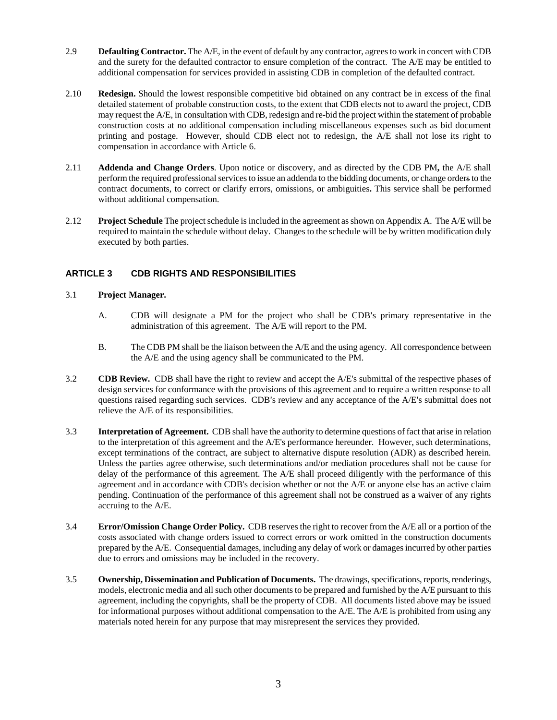- 2.9 **Defaulting Contractor.** The A/E, in the event of default by any contractor, agrees to work in concert with CDB and the surety for the defaulted contractor to ensure completion of the contract. The A/E may be entitled to additional compensation for services provided in assisting CDB in completion of the defaulted contract.
- 2.10 **Redesign.** Should the lowest responsible competitive bid obtained on any contract be in excess of the final detailed statement of probable construction costs, to the extent that CDB elects not to award the project, CDB may request the A/E, in consultation with CDB, redesign and re-bid the project within the statement of probable construction costs at no additional compensation including miscellaneous expenses such as bid document printing and postage. However, should CDB elect not to redesign, the A/E shall not lose its right to compensation in accordance with Article 6.
- 2.11 **Addenda and Change Orders**. Upon notice or discovery, and as directed by the CDB PM**,** the A/E shall perform the required professional services to issue an addenda to the bidding documents, or change orders to the contract documents, to correct or clarify errors, omissions, or ambiguities**.** This service shall be performed without additional compensation.
- 2.12 **Project Schedule** The project schedule is included in the agreement as shown on Appendix A. The A/E will be required to maintain the schedule without delay. Changes to the schedule will be by written modification duly executed by both parties.

## **ARTICLE 3 CDB RIGHTS AND RESPONSIBILITIES**

#### 3.1 **Project Manager.**

- A. CDB will designate a PM for the project who shall be CDB's primary representative in the administration of this agreement. The A/E will report to the PM.
- B. The CDB PM shall be the liaison between the A/E and the using agency. All correspondence between the A/E and the using agency shall be communicated to the PM.
- 3.2 **CDB Review.** CDB shall have the right to review and accept the A/E's submittal of the respective phases of design services for conformance with the provisions of this agreement and to require a written response to all questions raised regarding such services. CDB's review and any acceptance of the A/E's submittal does not relieve the A/E of its responsibilities.
- 3.3 **Interpretation of Agreement.** CDB shall have the authority to determine questions of fact that arise in relation to the interpretation of this agreement and the A/E's performance hereunder. However, such determinations, except terminations of the contract, are subject to alternative dispute resolution (ADR) as described herein. Unless the parties agree otherwise, such determinations and/or mediation procedures shall not be cause for delay of the performance of this agreement. The A/E shall proceed diligently with the performance of this agreement and in accordance with CDB's decision whether or not the A/E or anyone else has an active claim pending. Continuation of the performance of this agreement shall not be construed as a waiver of any rights accruing to the A/E.
- 3.4 **Error/Omission Change Order Policy.** CDB reserves the right to recover from the A/E all or a portion of the costs associated with change orders issued to correct errors or work omitted in the construction documents prepared by the A/E. Consequential damages, including any delay of work or damages incurred by other parties due to errors and omissions may be included in the recovery.
- 3.5 **Ownership, Dissemination and Publication of Documents.** The drawings, specifications, reports, renderings, models, electronic media and all such other documents to be prepared and furnished by the A/E pursuant to this agreement, including the copyrights, shall be the property of CDB. All documents listed above may be issued for informational purposes without additional compensation to the  $A/E$ . The  $A/E$  is prohibited from using any materials noted herein for any purpose that may misrepresent the services they provided.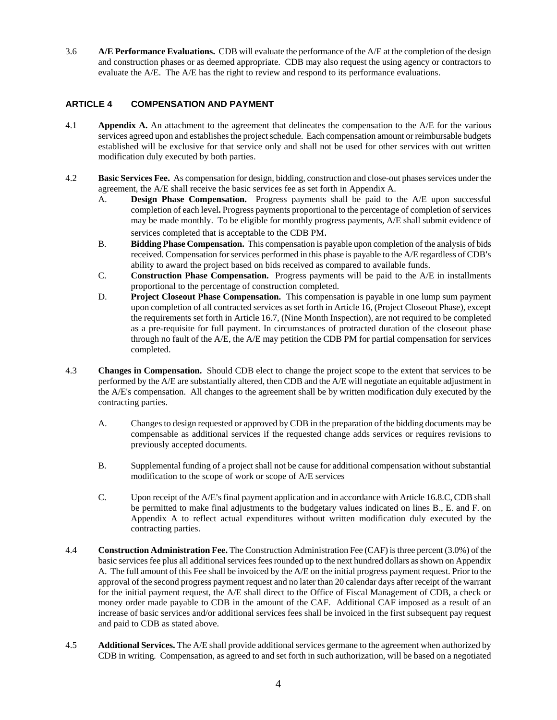3.6 **A/E Performance Evaluations.** CDB will evaluate the performance of the A/E at the completion of the design and construction phases or as deemed appropriate. CDB may also request the using agency or contractors to evaluate the A/E. The A/E has the right to review and respond to its performance evaluations.

## **ARTICLE 4 COMPENSATION AND PAYMENT**

- 4.1 **Appendix A.** An attachment to the agreement that delineates the compensation to the A/E for the various services agreed upon and establishes the project schedule. Each compensation amount or reimbursable budgets established will be exclusive for that service only and shall not be used for other services with out written modification duly executed by both parties.
- 4.2 **Basic Services Fee.** As compensation for design, bidding, construction and close-out phases services under the agreement, the A/E shall receive the basic services fee as set forth in Appendix A.
	- A. **Design Phase Compensation.** Progress payments shall be paid to the A/E upon successful completion of each level**.** Progress payments proportional to the percentage of completion of services may be made monthly. To be eligible for monthly progress payments, A/E shall submit evidence of services completed that is acceptable to the CDB PM.
	- B. **Bidding Phase Compensation.** This compensation is payable upon completion of the analysis of bids received. Compensation for services performed in this phase is payable to the A/E regardless of CDB's ability to award the project based on bids received as compared to available funds.
	- C. **Construction Phase Compensation.** Progress payments will be paid to the A/E in installments proportional to the percentage of construction completed.
	- D. **Project Closeout Phase Compensation.** This compensation is payable in one lump sum payment upon completion of all contracted services as set forth in Article 16, (Project Closeout Phase), except the requirements set forth in Article 16.7, (Nine Month Inspection), are not required to be completed as a pre-requisite for full payment. In circumstances of protracted duration of the closeout phase through no fault of the A/E, the A/E may petition the CDB PM for partial compensation for services completed.
- 4.3 **Changes in Compensation.** Should CDB elect to change the project scope to the extent that services to be performed by the A/E are substantially altered, then CDB and the A/E will negotiate an equitable adjustment in the A/E's compensation. All changes to the agreement shall be by written modification duly executed by the contracting parties.
	- A. Changes to design requested or approved by CDB in the preparation of the bidding documents may be compensable as additional services if the requested change adds services or requires revisions to previously accepted documents.
	- B. Supplemental funding of a project shall not be cause for additional compensation without substantial modification to the scope of work or scope of A/E services
	- C. Upon receipt of the A/E's final payment application and in accordance with Article 16.8.C, CDB shall be permitted to make final adjustments to the budgetary values indicated on lines B., E. and F. on Appendix A to reflect actual expenditures without written modification duly executed by the contracting parties.
- 4.4 **Construction Administration Fee.** The Construction Administration Fee (CAF) is three percent (3.0%) of the basic services fee plus all additional services fees rounded up to the next hundred dollars as shown on Appendix A. The full amount of this Fee shall be invoiced by the A/E on the initial progress payment request. Prior to the approval of the second progress payment request and no later than 20 calendar days after receipt of the warrant for the initial payment request, the A/E shall direct to the Office of Fiscal Management of CDB, a check or money order made payable to CDB in the amount of the CAF. Additional CAF imposed as a result of an increase of basic services and/or additional services fees shall be invoiced in the first subsequent pay request and paid to CDB as stated above.
- 4.5 **Additional Services.** The A/E shall provide additional services germane to the agreement when authorized by CDB in writing*.* Compensation, as agreed to and set forth in such authorization*,* will be based on a negotiated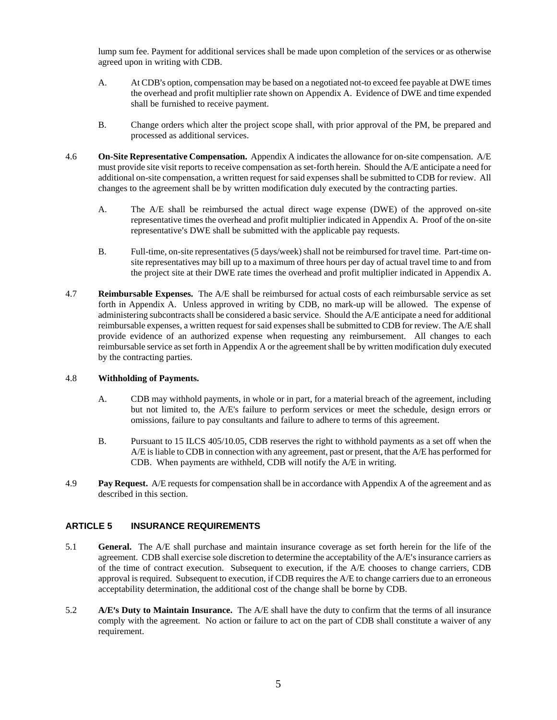lump sum fee. Payment for additional services shall be made upon completion of the services or as otherwise agreed upon in writing with CDB.

- A. At CDB's option, compensation may be based on a negotiated not-to exceed fee payable at DWE times the overhead and profit multiplier rate shown on Appendix A. Evidence of DWE and time expended shall be furnished to receive payment.
- B. Change orders which alter the project scope shall, with prior approval of the PM, be prepared and processed as additional services.
- 4.6 **On-Site Representative Compensation.** Appendix A indicates the allowance for on-site compensation. A/E must provide site visit reports to receive compensation as set-forth herein. Should the A/E anticipate a need for additional on-site compensation, a written request for said expenses shall be submitted to CDB for review. All changes to the agreement shall be by written modification duly executed by the contracting parties.
	- A. The A/E shall be reimbursed the actual direct wage expense (DWE) of the approved on-site representative times the overhead and profit multiplier indicated in Appendix A. Proof of the on-site representative's DWE shall be submitted with the applicable pay requests.
	- B. Full-time, on-site representatives (5 days/week) shall not be reimbursed for travel time. Part-time onsite representatives may bill up to a maximum of three hours per day of actual travel time to and from the project site at their DWE rate times the overhead and profit multiplier indicated in Appendix A.
- 4.7 **Reimbursable Expenses.** The A/E shall be reimbursed for actual costs of each reimbursable service as set forth in Appendix A. Unless approved in writing by CDB, no mark-up will be allowed. The expense of administering subcontracts shall be considered a basic service. Should the A/E anticipate a need for additional reimbursable expenses, a written request for said expenses shall be submitted to CDB for review. The A/E shall provide evidence of an authorized expense when requesting any reimbursement. All changes to each reimbursable service as set forth in Appendix A or the agreement shall be by written modification duly executed by the contracting parties.

#### 4.8 **Withholding of Payments.**

- A. CDB may withhold payments, in whole or in part, for a material breach of the agreement, including but not limited to, the A/E's failure to perform services or meet the schedule, design errors or omissions, failure to pay consultants and failure to adhere to terms of this agreement.
- B. Pursuant to 15 ILCS 405/10.05, CDB reserves the right to withhold payments as a set off when the A/E is liable to CDB in connection with any agreement, past or present, that the A/E has performed for CDB. When payments are withheld, CDB will notify the A/E in writing.
- 4.9 **Pay Request.** A/E requests for compensation shall be in accordance with Appendix A of the agreement and as described in this section.

#### **ARTICLE 5 INSURANCE REQUIREMENTS**

- 5.1 **General.** The A/E shall purchase and maintain insurance coverage as set forth herein for the life of the agreement. CDB shall exercise sole discretion to determine the acceptability of the A/E's insurance carriers as of the time of contract execution. Subsequent to execution, if the A/E chooses to change carriers, CDB approval is required. Subsequent to execution, if CDB requires the A/E to change carriers due to an erroneous acceptability determination, the additional cost of the change shall be borne by CDB.
- 5.2 **A/E's Duty to Maintain Insurance.** The A/E shall have the duty to confirm that the terms of all insurance comply with the agreement. No action or failure to act on the part of CDB shall constitute a waiver of any requirement.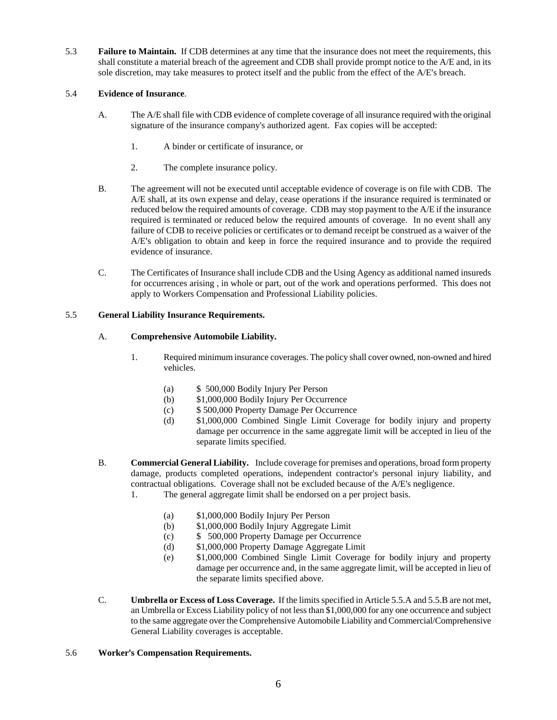5.3 **Failure to Maintain.** If CDB determines at any time that the insurance does not meet the requirements, this shall constitute a material breach of the agreement and CDB shall provide prompt notice to the A/E and, in its sole discretion, may take measures to protect itself and the public from the effect of the  $A/E'$ s breach.

### 5.4 **Evidence of Insurance**.

- A. The A/E shall file with CDB evidence of complete coverage of all insurance required with the original signature of the insurance company's authorized agent. Fax copies will be accepted:
	- 1. A binder or certificate of insurance, or
	- 2. The complete insurance policy.
- B. The agreement will not be executed until acceptable evidence of coverage is on file with CDB. The A/E shall, at its own expense and delay, cease operations if the insurance required is terminated or reduced below the required amounts of coverage. CDB may stop payment to the A/E if the insurance required is terminated or reduced below the required amounts of coverage. In no event shall any failure of CDB to receive policies or certificates or to demand receipt be construed as a waiver of the A/E's obligation to obtain and keep in force the required insurance and to provide the required evidence of insurance.
- C. The Certificates of Insurance shall include CDB and the Using Agency as additional named insureds for occurrences arising , in whole or part, out of the work and operations performed. This does not apply to Workers Compensation and Professional Liability policies.

#### 5.5 **General Liability Insurance Requirements.**

#### A. **Comprehensive Automobile Liability.**

- 1. Required minimum insurance coverages. The policy shall cover owned, non-owned and hired vehicles.
	- (a) \$ 500,000 Bodily Injury Per Person
	- (b) \$1,000,000 Bodily Injury Per Occurrence
	- (c) \$ 500,000 Property Damage Per Occurrence
	- (d) \$1,000,000 Combined Single Limit Coverage for bodily injury and property damage per occurrence in the same aggregate limit will be accepted in lieu of the separate limits specified.
- B. **Commercial General Liability.** Include coverage for premises and operations, broad form property damage, products completed operations, independent contractor's personal injury liability, and contractual obligations. Coverage shall not be excluded because of the A/E's negligence.
	- 1. The general aggregate limit shall be endorsed on a per project basis.
		- (a) \$1,000,000 Bodily Injury Per Person
		- (b) \$1,000,000 Bodily Injury Aggregate Limit
		- (c) \$ 500,000 Property Damage per Occurrence
		- (d) \$1,000,000 Property Damage Aggregate Limit
		- (e) \$1,000,000 Combined Single Limit Coverage for bodily injury and property damage per occurrence and, in the same aggregate limit, will be accepted in lieu of the separate limits specified above.
- C. **Umbrella or Excess of Loss Coverage.** If the limits specified in Article 5.5.A and 5.5.B are not met, an Umbrella or Excess Liability policy of not less than \$1,000,000 for any one occurrence and subject to the same aggregate over the Comprehensive Automobile Liability and Commercial/Comprehensive General Liability coverages is acceptable.

#### 5.6 **Worker's Compensation Requirements.**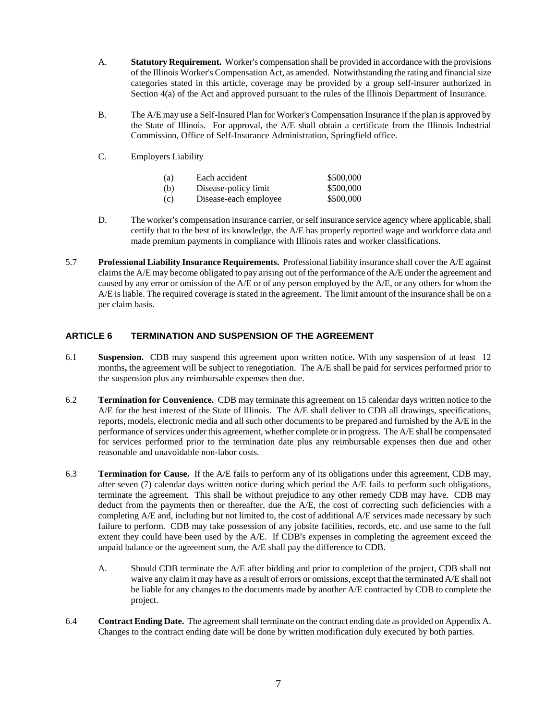- A. **Statutory Requirement.** Worker's compensation shall be provided in accordance with the provisions of the Illinois Worker's Compensation Act, as amended. Notwithstanding the rating and financial size categories stated in this article, coverage may be provided by a group self-insurer authorized in Section 4(a) of the Act and approved pursuant to the rules of the Illinois Department of Insurance.
- B. The A/E may use a Self-Insured Plan for Worker's Compensation Insurance if the plan is approved by the State of Illinois. For approval, the A/E shall obtain a certificate from the Illinois Industrial Commission, Office of Self-Insurance Administration, Springfield office.
- C. Employers Liability

| (a) | Each accident         | \$500,000 |
|-----|-----------------------|-----------|
| (b) | Disease-policy limit  | \$500,000 |
| (c) | Disease-each employee | \$500,000 |

- D. The worker's compensation insurance carrier, or self insurance service agency where applicable, shall certify that to the best of its knowledge, the A/E has properly reported wage and workforce data and made premium payments in compliance with Illinois rates and worker classifications.
- 5.7 **Professional Liability Insurance Requirements.** Professional liability insurance shall cover the A/E against claims the A/E may become obligated to pay arising out of the performance of the A/E under the agreement and caused by any error or omission of the A/E or of any person employed by the A/E, or any others for whom the A/E is liable. The required coverage is stated in the agreement.The limit amount of the insurance shall be on a per claim basis.

## **ARTICLE 6 TERMINATION AND SUSPENSION OF THE AGREEMENT**

- 6.1 **Suspension.** CDB may suspend this agreement upon written notice**.** With any suspension of at least 12 months**,** the agreement will be subject to renegotiation. The A/E shall be paid for services performed prior to the suspension plus any reimbursable expenses then due.
- 6.2 **Termination for Convenience.** CDB may terminate this agreement on 15 calendar days written notice to the A/E for the best interest of the State of Illinois. The A/E shall deliver to CDB all drawings, specifications, reports, models, electronic media and all such other documents to be prepared and furnished by the A/E in the performance of services under this agreement, whether complete or in progress. The A/E shall be compensated for services performed prior to the termination date plus any reimbursable expenses then due and other reasonable and unavoidable non-labor costs.
- 6.3 **Termination for Cause.** If the A/E fails to perform any of its obligations under this agreement, CDB may, after seven (7) calendar days written notice during which period the A/E fails to perform such obligations, terminate the agreement. This shall be without prejudice to any other remedy CDB may have. CDB may deduct from the payments then or thereafter, due the A/E, the cost of correcting such deficiencies with a completing A/E and, including but not limited to, the cost of additional A/E services made necessary by such failure to perform. CDB may take possession of any jobsite facilities, records, etc. and use same to the full extent they could have been used by the A/E. If CDB's expenses in completing the agreement exceed the unpaid balance or the agreement sum, the A/E shall pay the difference to CDB.
	- A. Should CDB terminate the A/E after bidding and prior to completion of the project, CDB shall not waive any claim it may have as a result of errors or omissions, except that the terminated A/E shall not be liable for any changes to the documents made by another A/E contracted by CDB to complete the project.
- 6.4 **Contract Ending Date.** The agreement shall terminate on the contract ending date as provided on Appendix A. Changes to the contract ending date will be done by written modification duly executed by both parties.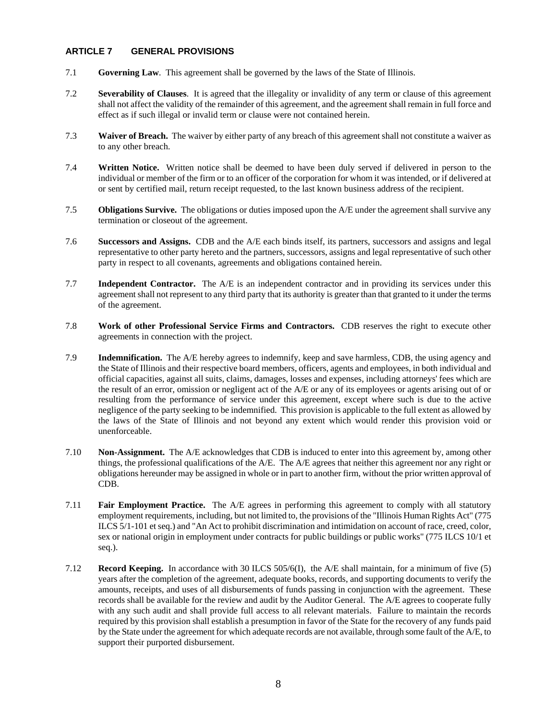#### **ARTICLE 7 GENERAL PROVISIONS**

- 7.1 **Governing Law**. This agreement shall be governed by the laws of the State of Illinois.
- 7.2 **Severability of Clauses**. It is agreed that the illegality or invalidity of any term or clause of this agreement shall not affect the validity of the remainder of this agreement, and the agreement shall remain in full force and effect as if such illegal or invalid term or clause were not contained herein.
- 7.3 **Waiver of Breach.** The waiver by either party of any breach of this agreement shall not constitute a waiver as to any other breach.
- 7.4 **Written Notice.** Written notice shall be deemed to have been duly served if delivered in person to the individual or member of the firm or to an officer of the corporation for whom it was intended, or if delivered at or sent by certified mail, return receipt requested, to the last known business address of the recipient.
- 7.5 **Obligations Survive.** The obligations or duties imposed upon the A/E under the agreement shall survive any termination or closeout of the agreement.
- 7.6 **Successors and Assigns.** CDB and the A/E each binds itself, its partners, successors and assigns and legal representative to other party hereto and the partners, successors, assigns and legal representative of such other party in respect to all covenants, agreements and obligations contained herein.
- 7.7 **Independent Contractor.** The A/E is an independent contractor and in providing its services under this agreement shall not represent to any third party that its authority is greater than that granted to it under the terms of the agreement.
- 7.8 **Work of other Professional Service Firms and Contractors.** CDB reserves the right to execute other agreements in connection with the project.
- 7.9 **Indemnification.** The A/E hereby agrees to indemnify, keep and save harmless, CDB, the using agency and the State of Illinois and their respective board members, officers, agents and employees, in both individual and official capacities, against all suits, claims, damages, losses and expenses, including attorneys' fees which are the result of an error, omission or negligent act of the A/E or any of its employees or agents arising out of or resulting from the performance of service under this agreement, except where such is due to the active negligence of the party seeking to be indemnified. This provision is applicable to the full extent as allowed by the laws of the State of Illinois and not beyond any extent which would render this provision void or unenforceable.
- 7.10 **Non-Assignment.** The A/E acknowledges that CDB is induced to enter into this agreement by, among other things, the professional qualifications of the A/E. The A/E agrees that neither this agreement nor any right or obligations hereunder may be assigned in whole or in part to another firm, without the prior written approval of CDB.
- 7.11 **Fair Employment Practice.** The A/E agrees in performing this agreement to comply with all statutory employment requirements, including, but not limited to, the provisions of the "Illinois Human Rights Act" (775 ILCS 5/1-101 et seq.) and "An Act to prohibit discrimination and intimidation on account of race, creed, color, sex or national origin in employment under contracts for public buildings or public works" (775 ILCS 10/1 et seq.).
- 7.12 **Record Keeping.** In accordance with 30 ILCS 505/6(I), the A/E shall maintain, for a minimum of five (5) years after the completion of the agreement, adequate books, records, and supporting documents to verify the amounts, receipts, and uses of all disbursements of funds passing in conjunction with the agreement. These records shall be available for the review and audit by the Auditor General. The A/E agrees to cooperate fully with any such audit and shall provide full access to all relevant materials. Failure to maintain the records required by this provision shall establish a presumption in favor of the State for the recovery of any funds paid by the State under the agreement for which adequate records are not available, through some fault of the A/E, to support their purported disbursement.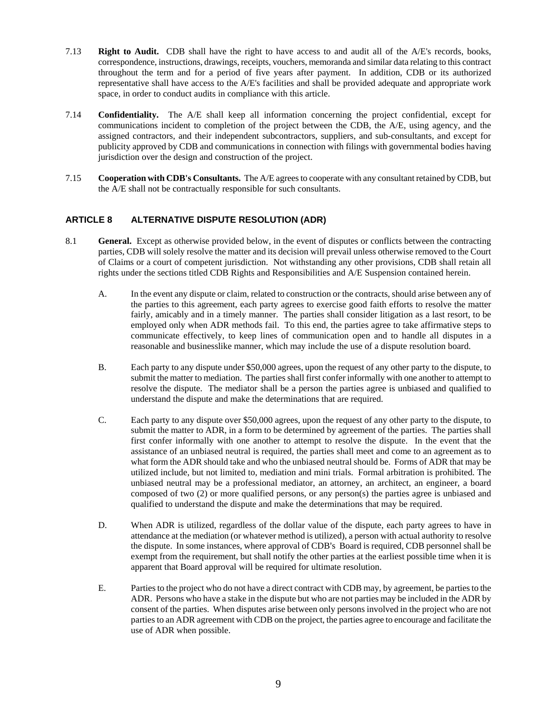- 7.13 **Right to Audit.** CDB shall have the right to have access to and audit all of the A/E's records, books, correspondence, instructions, drawings, receipts, vouchers, memoranda and similar data relating to this contract throughout the term and for a period of five years after payment. In addition, CDB or its authorized representative shall have access to the A/E's facilities and shall be provided adequate and appropriate work space, in order to conduct audits in compliance with this article.
- 7.14 **Confidentiality.** The A/E shall keep all information concerning the project confidential, except for communications incident to completion of the project between the CDB, the A/E, using agency, and the assigned contractors, and their independent subcontractors, suppliers, and sub-consultants, and except for publicity approved by CDB and communications in connection with filings with governmental bodies having jurisdiction over the design and construction of the project.
- 7.15 **Cooperation with CDB's Consultants.** The A/E agrees to cooperate with any consultant retained by CDB, but the A/E shall not be contractually responsible for such consultants.

## **ARTICLE 8 ALTERNATIVE DISPUTE RESOLUTION (ADR)**

- 8.1 **General.** Except as otherwise provided below, in the event of disputes or conflicts between the contracting parties, CDB will solely resolve the matter and its decision will prevail unless otherwise removed to the Court of Claims or a court of competent jurisdiction. Not withstanding any other provisions, CDB shall retain all rights under the sections titled CDB Rights and Responsibilities and A/E Suspension contained herein.
	- A. In the event any dispute or claim, related to construction or the contracts, should arise between any of the parties to this agreement, each party agrees to exercise good faith efforts to resolve the matter fairly, amicably and in a timely manner. The parties shall consider litigation as a last resort, to be employed only when ADR methods fail. To this end, the parties agree to take affirmative steps to communicate effectively, to keep lines of communication open and to handle all disputes in a reasonable and businesslike manner, which may include the use of a dispute resolution board.
	- B. Each party to any dispute under \$50,000 agrees, upon the request of any other party to the dispute, to submit the matter to mediation. The parties shall first confer informally with one another to attempt to resolve the dispute. The mediator shall be a person the parties agree is unbiased and qualified to understand the dispute and make the determinations that are required.
	- C. Each party to any dispute over \$50,000 agrees, upon the request of any other party to the dispute, to submit the matter to ADR, in a form to be determined by agreement of the parties. The parties shall first confer informally with one another to attempt to resolve the dispute. In the event that the assistance of an unbiased neutral is required, the parties shall meet and come to an agreement as to what form the ADR should take and who the unbiased neutral should be. Forms of ADR that may be utilized include, but not limited to, mediation and mini trials. Formal arbitration is prohibited. The unbiased neutral may be a professional mediator, an attorney, an architect, an engineer, a board composed of two (2) or more qualified persons, or any person(s) the parties agree is unbiased and qualified to understand the dispute and make the determinations that may be required.
	- D. When ADR is utilized, regardless of the dollar value of the dispute, each party agrees to have in attendance at the mediation (or whatever method is utilized), a person with actual authority to resolve the dispute. In some instances, where approval of CDB's Board is required, CDB personnel shall be exempt from the requirement, but shall notify the other parties at the earliest possible time when it is apparent that Board approval will be required for ultimate resolution.
	- E. Parties to the project who do not have a direct contract with CDB may, by agreement, be parties to the ADR. Persons who have a stake in the dispute but who are not parties may be included in the ADR by consent of the parties. When disputes arise between only persons involved in the project who are not parties to an ADR agreement with CDB on the project, the parties agree to encourage and facilitate the use of ADR when possible.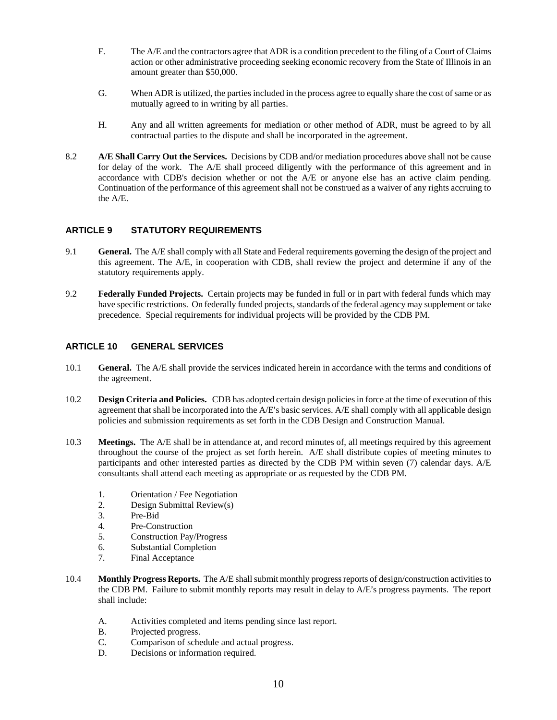- F. The A/E and the contractors agree that ADR is a condition precedent to the filing of a Court of Claims action or other administrative proceeding seeking economic recovery from the State of Illinois in an amount greater than \$50,000.
- G. When ADR is utilized, the parties included in the process agree to equally share the cost of same or as mutually agreed to in writing by all parties.
- H. Any and all written agreements for mediation or other method of ADR, must be agreed to by all contractual parties to the dispute and shall be incorporated in the agreement.
- 8.2 **A/E Shall Carry Out the Services.** Decisions by CDB and/or mediation procedures above shall not be cause for delay of the work. The A/E shall proceed diligently with the performance of this agreement and in accordance with CDB's decision whether or not the A/E or anyone else has an active claim pending. Continuation of the performance of this agreement shall not be construed as a waiver of any rights accruing to the A/E.

## **ARTICLE 9 STATUTORY REQUIREMENTS**

- 9.1 **General.** The A/E shall comply with all State and Federal requirements governing the design of the project and this agreement. The A/E, in cooperation with CDB, shall review the project and determine if any of the statutory requirements apply.
- 9.2 **Federally Funded Projects.** Certain projects may be funded in full or in part with federal funds which may have specific restrictions. On federally funded projects, standards of the federal agency may supplement or take precedence. Special requirements for individual projects will be provided by the CDB PM.

## **ARTICLE 10 GENERAL SERVICES**

- 10.1 **General.** The A/E shall provide the services indicated herein in accordance with the terms and conditions of the agreement.
- 10.2 **Design Criteria and Policies.** CDB has adopted certain design policies in force at the time of execution of this agreement that shall be incorporated into the  $A/E$ 's basic services.  $A/E$  shall comply with all applicable design policies and submission requirements as set forth in the CDB Design and Construction Manual.
- 10.3 **Meetings.** The A/E shall be in attendance at, and record minutes of, all meetings required by this agreement throughout the course of the project as set forth herein. A/E shall distribute copies of meeting minutes to participants and other interested parties as directed by the CDB PM within seven (7) calendar days. A/E consultants shall attend each meeting as appropriate or as requested by the CDB PM.
	- 1. Orientation / Fee Negotiation
	- 2. Design Submittal Review(s)
	- 3. Pre-Bid
	- 4. Pre-Construction
	- 5. Construction Pay/Progress
	- 6. Substantial Completion
	- 7. Final Acceptance
- 10.4 **Monthly Progress Reports.** The A/E shall submit monthly progress reports of design/construction activities to the CDB PM. Failure to submit monthly reports may result in delay to A/E's progress payments. The report shall include:
	- A. Activities completed and items pending since last report.
	- B. Projected progress.
	- C. Comparison of schedule and actual progress.
	- D. Decisions or information required.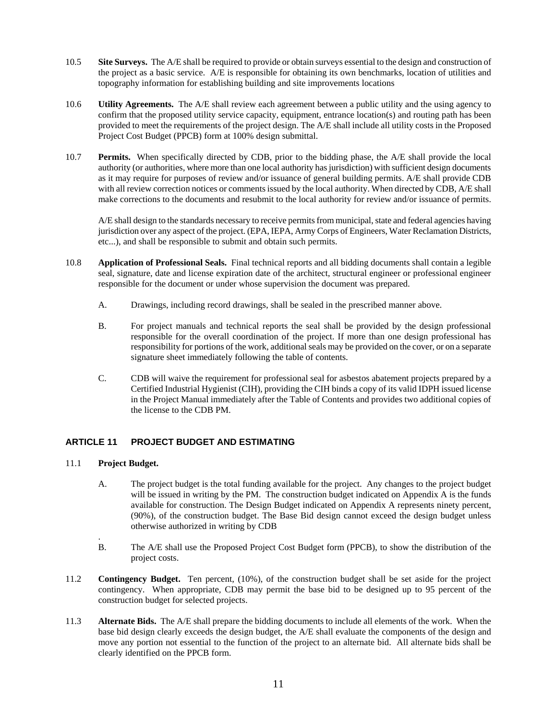- 10.5 **Site Surveys.** The A/E shall be required to provide or obtain surveys essential to the design and construction of the project as a basic service. A/E is responsible for obtaining its own benchmarks, location of utilities and topography information for establishing building and site improvements locations
- 10.6 **Utility Agreements.** The A/E shall review each agreement between a public utility and the using agency to confirm that the proposed utility service capacity, equipment, entrance location(s) and routing path has been provided to meet the requirements of the project design. The A/E shall include all utility costs in the Proposed Project Cost Budget (PPCB) form at 100% design submittal.
- 10.7 **Permits.** When specifically directed by CDB, prior to the bidding phase, the A/E shall provide the local authority (or authorities, where more than one local authority has jurisdiction) with sufficient design documents as it may require for purposes of review and/or issuance of general building permits. A/E shall provide CDB with all review correction notices or comments issued by the local authority. When directed by CDB, A/E shall make corrections to the documents and resubmit to the local authority for review and/or issuance of permits.

A/E shall design to the standards necessary to receive permits from municipal, state and federal agencies having jurisdiction over any aspect of the project. (EPA, IEPA, Army Corps of Engineers, Water Reclamation Districts, etc...), and shall be responsible to submit and obtain such permits.

- 10.8 **Application of Professional Seals.** Final technical reports and all bidding documents shall contain a legible seal, signature, date and license expiration date of the architect, structural engineer or professional engineer responsible for the document or under whose supervision the document was prepared.
	- A. Drawings, including record drawings, shall be sealed in the prescribed manner above.
	- B. For project manuals and technical reports the seal shall be provided by the design professional responsible for the overall coordination of the project. If more than one design professional has responsibility for portions of the work, additional seals may be provided on the cover, or on a separate signature sheet immediately following the table of contents.
	- C. CDB will waive the requirement for professional seal for asbestos abatement projects prepared by a Certified Industrial Hygienist (CIH), providing the CIH binds a copy of its valid IDPH issued license in the Project Manual immediately after the Table of Contents and provides two additional copies of the license to the CDB PM.

## **ARTICLE 11 PROJECT BUDGET AND ESTIMATING**

11.1 **Project Budget.** 

.

- A. The project budget is the total funding available for the project. Any changes to the project budget will be issued in writing by the PM. The construction budget indicated on Appendix A is the funds available for construction. The Design Budget indicated on Appendix A represents ninety percent, (90%), of the construction budget. The Base Bid design cannot exceed the design budget unless otherwise authorized in writing by CDB
- B. The A/E shall use the Proposed Project Cost Budget form (PPCB), to show the distribution of the project costs.
- 11.2 **Contingency Budget.** Ten percent, (10%), of the construction budget shall be set aside for the project contingency. When appropriate, CDB may permit the base bid to be designed up to 95 percent of the construction budget for selected projects.
- 11.3 **Alternate Bids.** The A/E shall prepare the bidding documents to include all elements of the work. When the base bid design clearly exceeds the design budget, the A/E shall evaluate the components of the design and move any portion not essential to the function of the project to an alternate bid. All alternate bids shall be clearly identified on the PPCB form.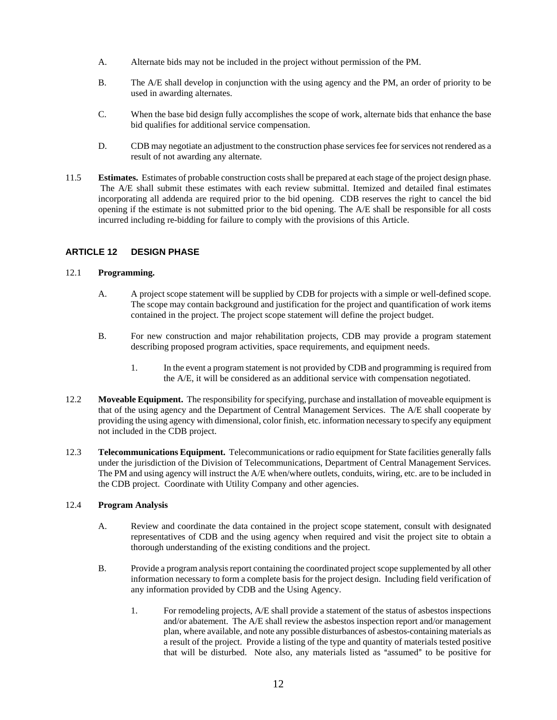- A. Alternate bids may not be included in the project without permission of the PM.
- B. The A/E shall develop in conjunction with the using agency and the PM, an order of priority to be used in awarding alternates.
- C. When the base bid design fully accomplishes the scope of work, alternate bids that enhance the base bid qualifies for additional service compensation.
- D. CDB may negotiate an adjustment to the construction phase services fee for services not rendered as a result of not awarding any alternate.
- 11.5 **Estimates.** Estimates of probable construction costs shall be prepared at each stage of the project design phase. The A/E shall submit these estimates with each review submittal. Itemized and detailed final estimates incorporating all addenda are required prior to the bid opening. CDB reserves the right to cancel the bid opening if the estimate is not submitted prior to the bid opening. The A/E shall be responsible for all costs incurred including re-bidding for failure to comply with the provisions of this Article.

#### **ARTICLE 12 DESIGN PHASE**

#### 12.1 **Programming.**

- A. A project scope statement will be supplied by CDB for projects with a simple or well-defined scope. The scope may contain background and justification for the project and quantification of work items contained in the project. The project scope statement will define the project budget.
- B. For new construction and major rehabilitation projects, CDB may provide a program statement describing proposed program activities, space requirements, and equipment needs.
	- 1. In the event a program statement is not provided by CDB and programming is required from the A/E, it will be considered as an additional service with compensation negotiated.
- 12.2 **Moveable Equipment.** The responsibility for specifying, purchase and installation of moveable equipment is that of the using agency and the Department of Central Management Services. The A/E shall cooperate by providing the using agency with dimensional, color finish, etc. information necessary to specify any equipment not included in the CDB project.
- 12.3 **Telecommunications Equipment.** Telecommunications or radio equipment for State facilities generally falls under the jurisdiction of the Division of Telecommunications, Department of Central Management Services. The PM and using agency will instruct the A/E when/where outlets, conduits, wiring, etc. are to be included in the CDB project. Coordinate with Utility Company and other agencies.

#### 12.4 **Program Analysis**

- A. Review and coordinate the data contained in the project scope statement, consult with designated representatives of CDB and the using agency when required and visit the project site to obtain a thorough understanding of the existing conditions and the project.
- B. Provide a program analysis report containing the coordinated project scope supplemented by all other information necessary to form a complete basis for the project design. Including field verification of any information provided by CDB and the Using Agency.
	- 1. For remodeling projects, A/E shall provide a statement of the status of asbestos inspections and/or abatement. The A/E shall review the asbestos inspection report and/or management plan, where available, and note any possible disturbances of asbestos-containing materials as a result of the project. Provide a listing of the type and quantity of materials tested positive that will be disturbed. Note also, any materials listed as "assumed" to be positive for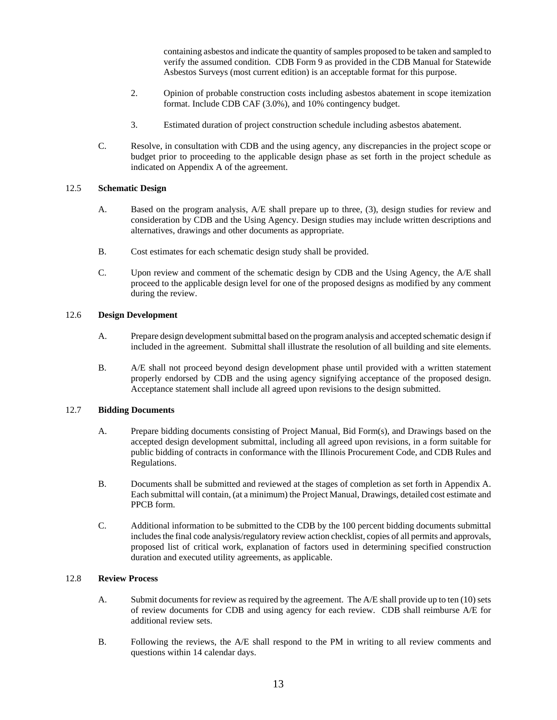containing asbestos and indicate the quantity of samples proposed to be taken and sampled to verify the assumed condition. CDB Form 9 as provided in the CDB Manual for Statewide Asbestos Surveys (most current edition) is an acceptable format for this purpose.

- 2. Opinion of probable construction costs including asbestos abatement in scope itemization format. Include CDB CAF (3.0%), and 10% contingency budget.
- 3. Estimated duration of project construction schedule including asbestos abatement.
- C. Resolve, in consultation with CDB and the using agency, any discrepancies in the project scope or budget prior to proceeding to the applicable design phase as set forth in the project schedule as indicated on Appendix A of the agreement.

#### 12.5 **Schematic Design**

- A. Based on the program analysis, A/E shall prepare up to three, (3), design studies for review and consideration by CDB and the Using Agency. Design studies may include written descriptions and alternatives, drawings and other documents as appropriate.
- B. Cost estimates for each schematic design study shall be provided.
- C. Upon review and comment of the schematic design by CDB and the Using Agency, the A/E shall proceed to the applicable design level for one of the proposed designs as modified by any comment during the review.

#### 12.6 **Design Development**

- A. Prepare design development submittal based on the program analysis and accepted schematic design if included in the agreement. Submittal shall illustrate the resolution of all building and site elements.
- B. A/E shall not proceed beyond design development phase until provided with a written statement properly endorsed by CDB and the using agency signifying acceptance of the proposed design. Acceptance statement shall include all agreed upon revisions to the design submitted.

#### 12.7 **Bidding Documents**

- A. Prepare bidding documents consisting of Project Manual, Bid Form(s), and Drawings based on the accepted design development submittal, including all agreed upon revisions, in a form suitable for public bidding of contracts in conformance with the Illinois Procurement Code, and CDB Rules and Regulations.
- B. Documents shall be submitted and reviewed at the stages of completion as set forth in Appendix A. Each submittal will contain, (at a minimum) the Project Manual, Drawings, detailed cost estimate and PPCB form.
- C. Additional information to be submitted to the CDB by the 100 percent bidding documents submittal includes the final code analysis/regulatory review action checklist, copies of all permits and approvals, proposed list of critical work, explanation of factors used in determining specified construction duration and executed utility agreements, as applicable.

#### 12.8 **Review Process**

- A. Submit documents for review as required by the agreement. The A/E shall provide up to ten (10) sets of review documents for CDB and using agency for each review. CDB shall reimburse A/E for additional review sets.
- B. Following the reviews, the A/E shall respond to the PM in writing to all review comments and questions within 14 calendar days.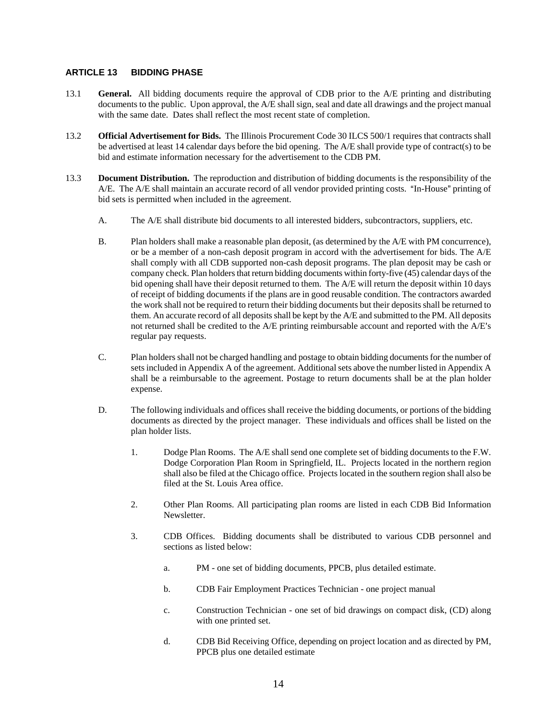### **ARTICLE 13 BIDDING PHASE**

- 13.1 **General.** All bidding documents require the approval of CDB prior to the A/E printing and distributing documents to the public. Upon approval, the A/E shall sign, seal and date all drawings and the project manual with the same date. Dates shall reflect the most recent state of completion.
- 13.2 **Official Advertisement for Bids.** The Illinois Procurement Code 30 ILCS 500/1 requires that contracts shall be advertised at least 14 calendar days before the bid opening. The A/E shall provide type of contract(s) to be bid and estimate information necessary for the advertisement to the CDB PM.
- 13.3 **Document Distribution.** The reproduction and distribution of bidding documents is the responsibility of the A/E. The A/E shall maintain an accurate record of all vendor provided printing costs. "In-House" printing of bid sets is permitted when included in the agreement.
	- A. The A/E shall distribute bid documents to all interested bidders, subcontractors, suppliers, etc.
	- B. Plan holders shall make a reasonable plan deposit, (as determined by the A/E with PM concurrence), or be a member of a non-cash deposit program in accord with the advertisement for bids. The A/E shall comply with all CDB supported non-cash deposit programs. The plan deposit may be cash or company check. Plan holders that return bidding documents within forty-five (45) calendar days of the bid opening shall have their deposit returned to them. The A/E will return the deposit within 10 days of receipt of bidding documents if the plans are in good reusable condition. The contractors awarded the work shall not be required to return their bidding documents but their deposits shall be returned to them. An accurate record of all deposits shall be kept by the A/E and submitted to the PM. All deposits not returned shall be credited to the A/E printing reimbursable account and reported with the A/E's regular pay requests.
	- C. Plan holders shall not be charged handling and postage to obtain bidding documents for the number of sets included in Appendix A of the agreement. Additional sets above the number listed in Appendix A shall be a reimbursable to the agreement. Postage to return documents shall be at the plan holder expense.
	- D. The following individuals and offices shall receive the bidding documents, or portions of the bidding documents as directed by the project manager. These individuals and offices shall be listed on the plan holder lists.
		- 1. Dodge Plan Rooms. The A/E shall send one complete set of bidding documents to the F.W. Dodge Corporation Plan Room in Springfield, IL. Projects located in the northern region shall also be filed at the Chicago office. Projects located in the southern region shall also be filed at the St. Louis Area office.
		- 2. Other Plan Rooms. All participating plan rooms are listed in each CDB Bid Information Newsletter.
		- 3. CDB Offices. Bidding documents shall be distributed to various CDB personnel and sections as listed below:
			- a. PM one set of bidding documents, PPCB, plus detailed estimate.
			- b. CDB Fair Employment Practices Technician one project manual
			- c. Construction Technician one set of bid drawings on compact disk, (CD) along with one printed set.
			- d. CDB Bid Receiving Office, depending on project location and as directed by PM, PPCB plus one detailed estimate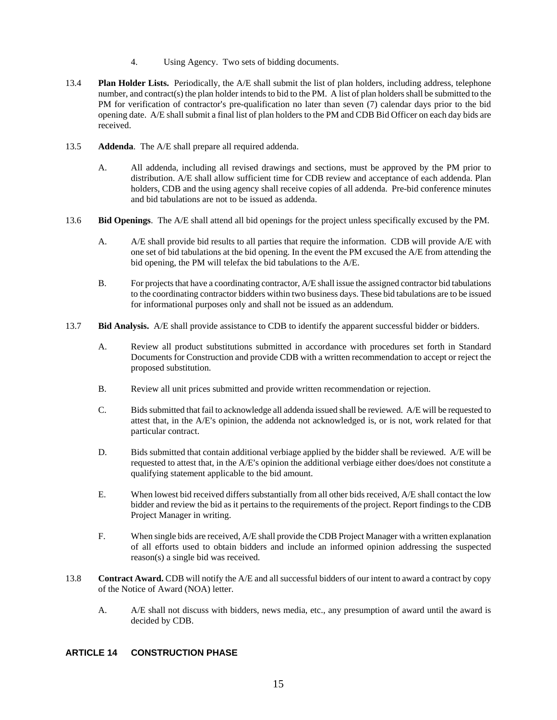- 4. Using Agency. Two sets of bidding documents.
- 13.4 **Plan Holder Lists.** Periodically, the A/E shall submit the list of plan holders, including address, telephone number, and contract(s) the plan holder intends to bid to the PM. A list of plan holders shall be submitted to the PM for verification of contractor's pre-qualification no later than seven (7) calendar days prior to the bid opening date. A/E shall submit a final list of plan holders to the PM and CDB Bid Officer on each day bids are received.
- 13.5 **Addenda**. The A/E shall prepare all required addenda.
	- A. All addenda, including all revised drawings and sections, must be approved by the PM prior to distribution. A/E shall allow sufficient time for CDB review and acceptance of each addenda. Plan holders, CDB and the using agency shall receive copies of all addenda. Pre-bid conference minutes and bid tabulations are not to be issued as addenda.
- 13.6 **Bid Openings**. The A/E shall attend all bid openings for the project unless specifically excused by the PM.
	- A. A/E shall provide bid results to all parties that require the information. CDB will provide A/E with one set of bid tabulations at the bid opening. In the event the PM excused the A/E from attending the bid opening, the PM will telefax the bid tabulations to the A/E.
	- B. For projects that have a coordinating contractor, A/E shall issue the assigned contractor bid tabulations to the coordinating contractor bidders within two business days. These bid tabulations are to be issued for informational purposes only and shall not be issued as an addendum.
- 13.7 **Bid Analysis.** A/E shall provide assistance to CDB to identify the apparent successful bidder or bidders.
	- A. Review all product substitutions submitted in accordance with procedures set forth in Standard Documents for Construction and provide CDB with a written recommendation to accept or reject the proposed substitution.
	- B. Review all unit prices submitted and provide written recommendation or rejection.
	- C. Bids submitted that fail to acknowledge all addenda issued shall be reviewed. A/E will be requested to attest that, in the A/E's opinion, the addenda not acknowledged is, or is not, work related for that particular contract.
	- D. Bids submitted that contain additional verbiage applied by the bidder shall be reviewed. A/E will be requested to attest that, in the A/E's opinion the additional verbiage either does/does not constitute a qualifying statement applicable to the bid amount.
	- E. When lowest bid received differs substantially from all other bids received, A/E shall contact the low bidder and review the bid as it pertains to the requirements of the project. Report findings to the CDB Project Manager in writing.
	- F. When single bids are received, A/E shall provide the CDB Project Manager with a written explanation of all efforts used to obtain bidders and include an informed opinion addressing the suspected reason(s) a single bid was received.
- 13.8 **Contract Award.** CDB will notify the A/E and all successful bidders of our intent to award a contract by copy of the Notice of Award (NOA) letter.
	- A. A/E shall not discuss with bidders, news media, etc., any presumption of award until the award is decided by CDB.

## **ARTICLE 14 CONSTRUCTION PHASE**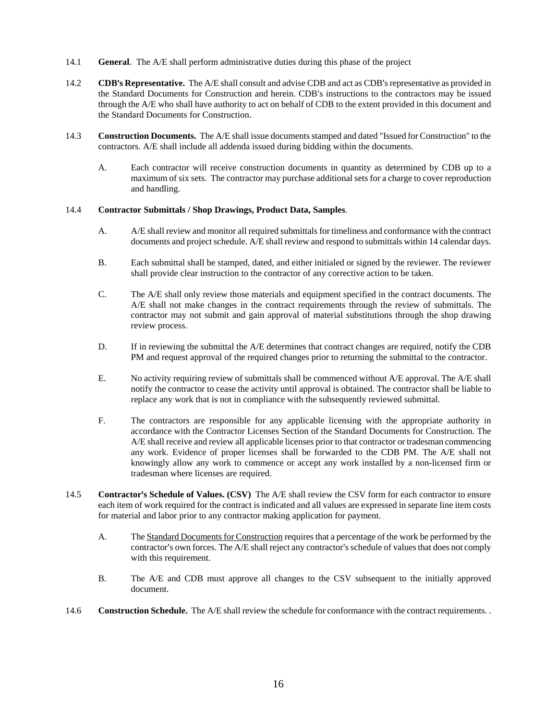- 14.1 **General**. The A/E shall perform administrative duties during this phase of the project
- 14.2 **CDB's Representative.** The A/E shall consult and advise CDB and act as CDB's representative as provided in the Standard Documents for Construction and herein. CDB's instructions to the contractors may be issued through the A/E who shall have authority to act on behalf of CDB to the extent provided in this document and the Standard Documents for Construction.
- 14.3 **Construction Documents.**The A/E shall issue documents stamped and dated "Issued for Construction" to the contractors. A/E shall include all addenda issued during bidding within the documents.
	- A. Each contractor will receive construction documents in quantity as determined by CDB up to a maximum of six sets. The contractor may purchase additional sets for a charge to cover reproduction and handling.

#### 14.4 **Contractor Submittals / Shop Drawings, Product Data, Samples**.

- A. A/E shall review and monitor all required submittals for timeliness and conformance with the contract documents and project schedule. A/E shall review and respond to submittals within 14 calendar days.
- B. Each submittal shall be stamped, dated, and either initialed or signed by the reviewer. The reviewer shall provide clear instruction to the contractor of any corrective action to be taken.
- C. The A/E shall only review those materials and equipment specified in the contract documents. The A/E shall not make changes in the contract requirements through the review of submittals. The contractor may not submit and gain approval of material substitutions through the shop drawing review process.
- D. If in reviewing the submittal the A/E determines that contract changes are required, notify the CDB PM and request approval of the required changes prior to returning the submittal to the contractor.
- E. No activity requiring review of submittals shall be commenced without A/E approval. The A/E shall notify the contractor to cease the activity until approval is obtained. The contractor shall be liable to replace any work that is not in compliance with the subsequently reviewed submittal.
- F. The contractors are responsible for any applicable licensing with the appropriate authority in accordance with the Contractor Licenses Section of the Standard Documents for Construction. The A/E shall receive and review all applicable licenses prior to that contractor or tradesman commencing any work. Evidence of proper licenses shall be forwarded to the CDB PM. The A/E shall not knowingly allow any work to commence or accept any work installed by a non-licensed firm or tradesman where licenses are required.
- 14.5 **Contractor's Schedule of Values. (CSV)** The A/E shall review the CSV form for each contractor to ensure each item of work required for the contract is indicated and all values are expressed in separate line item costs for material and labor prior to any contractor making application for payment.
	- A. The Standard Documents for Construction requires that a percentage of the work be performed by the contractor's own forces. The A/E shall reject any contractor's schedule of values that does not comply with this requirement.
	- B. The A/E and CDB must approve all changes to the CSV subsequent to the initially approved document.
- 14.6 **Construction Schedule.** The A/E shall review the schedule for conformance with the contract requirements. .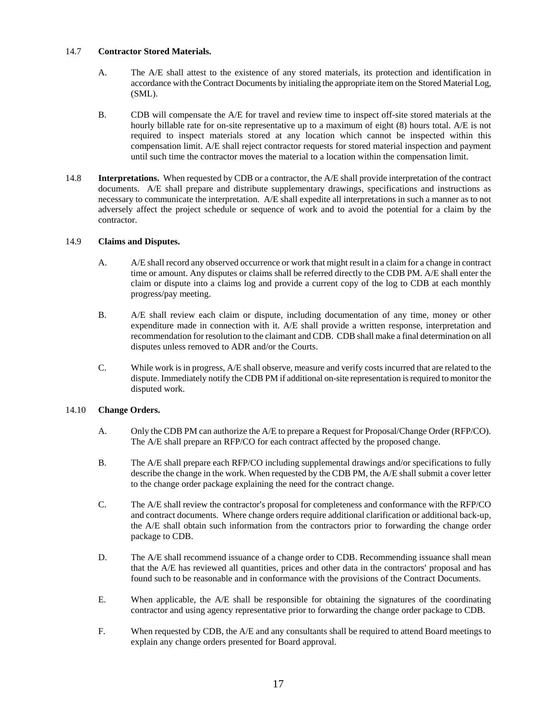#### 14.7 **Contractor Stored Materials.**

- A. The A/E shall attest to the existence of any stored materials, its protection and identification in accordance with the Contract Documents by initialing the appropriate item on the Stored Material Log, (SML).
- B. CDB will compensate the A/E for travel and review time to inspect off-site stored materials at the hourly billable rate for on-site representative up to a maximum of eight (8) hours total. A/E is not required to inspect materials stored at any location which cannot be inspected within this compensation limit. A/E shall reject contractor requests for stored material inspection and payment until such time the contractor moves the material to a location within the compensation limit.
- 14.8 **Interpretations.** When requested by CDB or a contractor, the A/E shall provide interpretation of the contract documents. A/E shall prepare and distribute supplementary drawings, specifications and instructions as necessary to communicate the interpretation. A/E shall expedite all interpretations in such a manner as to not adversely affect the project schedule or sequence of work and to avoid the potential for a claim by the contractor.

#### 14.9 **Claims and Disputes.**

- A. A/E shall record any observed occurrence or work that might result in a claim for a change in contract time or amount. Any disputes or claims shall be referred directly to the CDB PM. A/E shall enter the claim or dispute into a claims log and provide a current copy of the log to CDB at each monthly progress/pay meeting.
- B. A/E shall review each claim or dispute, including documentation of any time, money or other expenditure made in connection with it. A/E shall provide a written response, interpretation and recommendation for resolution to the claimant and CDB. CDB shall make a final determination on all disputes unless removed to ADR and/or the Courts.
- C. While work is in progress, A/E shall observe, measure and verify costs incurred that are related to the dispute. Immediately notify the CDB PM if additional on-site representation is required to monitor the disputed work.

#### 14.10 **Change Orders.**

- A. Only the CDB PM can authorize the A/E to prepare a Request for Proposal/Change Order (RFP/CO). The A/E shall prepare an RFP/CO for each contract affected by the proposed change.
- B. The A/E shall prepare each RFP/CO including supplemental drawings and/or specifications to fully describe the change in the work. When requested by the CDB PM, the A/E shall submit a cover letter to the change order package explaining the need for the contract change.
- C. The A/E shall review the contractor's proposal for completeness and conformance with the RFP/CO and contract documents. Where change orders require additional clarification or additional back-up, the A/E shall obtain such information from the contractors prior to forwarding the change order package to CDB.
- D. The A/E shall recommend issuance of a change order to CDB. Recommending issuance shall mean that the A/E has reviewed all quantities, prices and other data in the contractors' proposal and has found such to be reasonable and in conformance with the provisions of the Contract Documents.
- E. When applicable, the A/E shall be responsible for obtaining the signatures of the coordinating contractor and using agency representative prior to forwarding the change order package to CDB.
- F. When requested by CDB, the A/E and any consultants shall be required to attend Board meetings to explain any change orders presented for Board approval.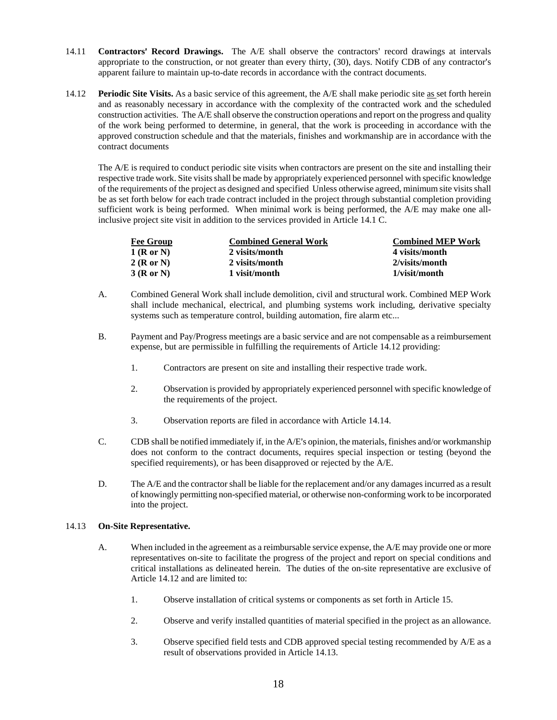- 14.11 **Contractors' Record Drawings.** The A/E shall observe the contractors' record drawings at intervals appropriate to the construction, or not greater than every thirty, (30), days. Notify CDB of any contractor's apparent failure to maintain up-to-date records in accordance with the contract documents.
- 14.12 **Periodic Site Visits.** As a basic service of this agreement, the A/E shall make periodic site as set forth herein and as reasonably necessary in accordance with the complexity of the contracted work and the scheduled construction activities. The A/E shall observe the construction operations and report on the progress and quality of the work being performed to determine, in general, that the work is proceeding in accordance with the approved construction schedule and that the materials, finishes and workmanship are in accordance with the contract documents

The A/E is required to conduct periodic site visits when contractors are present on the site and installing their respective trade work. Site visits shall be made by appropriately experienced personnel with specific knowledge of the requirements of the project as designed and specified Unless otherwise agreed, minimum site visits shall be as set forth below for each trade contract included in the project through substantial completion providing sufficient work is being performed. When minimal work is being performed, the A/E may make one allinclusive project site visit in addition to the services provided in Article 14.1 C.

| <b>Fee Group</b> | <b>Combined General Work</b> | <b>Combined MEP Work</b> |
|------------------|------------------------------|--------------------------|
| 1(Ror N)         | 2 visits/month               | 4 visits/month           |
| 2(RorN)          | 2 visits/month               | 2/visits/month           |
| 3(RorN)          | 1 visit/month                | 1/visit/month            |

- A. Combined General Work shall include demolition, civil and structural work. Combined MEP Work shall include mechanical, electrical, and plumbing systems work including, derivative specialty systems such as temperature control, building automation, fire alarm etc...
- B. Payment and Pay/Progress meetings are a basic service and are not compensable as a reimbursement expense, but are permissible in fulfilling the requirements of Article 14.12 providing:
	- 1. Contractors are present on site and installing their respective trade work.
	- 2. Observation is provided by appropriately experienced personnel with specific knowledge of the requirements of the project.
	- 3. Observation reports are filed in accordance with Article 14.14.
- C. CDB shall be notified immediately if, in the A/E's opinion, the materials, finishes and/or workmanship does not conform to the contract documents, requires special inspection or testing (beyond the specified requirements), or has been disapproved or rejected by the A/E.
- D. The A/E and the contractor shall be liable for the replacement and/or any damages incurred as a result of knowingly permitting non-specified material, or otherwise non-conforming work to be incorporated into the project.

#### 14.13 **On-Site Representative.**

- A. When included in the agreement as a reimbursable service expense, the A/E may provide one or more representatives on-site to facilitate the progress of the project and report on special conditions and critical installations as delineated herein. The duties of the on-site representative are exclusive of Article 14.12 and are limited to:
	- 1. Observe installation of critical systems or components as set forth in Article 15.
	- 2. Observe and verify installed quantities of material specified in the project as an allowance.
	- 3. Observe specified field tests and CDB approved special testing recommended by A/E as a result of observations provided in Article 14.13.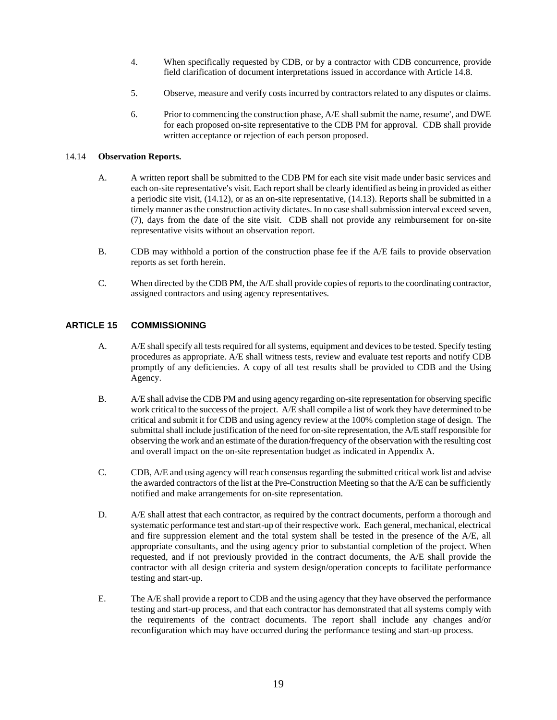- 4. When specifically requested by CDB, or by a contractor with CDB concurrence, provide field clarification of document interpretations issued in accordance with Article 14.8.
- 5. Observe, measure and verify costs incurred by contractors related to any disputes or claims.
- 6. Prior to commencing the construction phase, A/E shall submit the name, resume', and DWE for each proposed on-site representative to the CDB PM for approval. CDB shall provide written acceptance or rejection of each person proposed.

#### 14.14 **Observation Reports.**

- A. A written report shall be submitted to the CDB PM for each site visit made under basic services and each on-site representative's visit. Each report shall be clearly identified as being in provided as either a periodic site visit, (14.12), or as an on-site representative, (14.13). Reports shall be submitted in a timely manner as the construction activity dictates. In no case shall submission interval exceed seven, (7), days from the date of the site visit. CDB shall not provide any reimbursement for on-site representative visits without an observation report.
- B. CDB may withhold a portion of the construction phase fee if the A/E fails to provide observation reports as set forth herein.
- C. When directed by the CDB PM, the A/E shall provide copies of reports to the coordinating contractor, assigned contractors and using agency representatives.

#### **ARTICLE 15 COMMISSIONING**

- A. A/E shall specify all tests required for all systems, equipment and devices to be tested. Specify testing procedures as appropriate. A/E shall witness tests, review and evaluate test reports and notify CDB promptly of any deficiencies. A copy of all test results shall be provided to CDB and the Using Agency.
- B. A/E shall advise the CDB PM and using agency regarding on-site representation for observing specific work critical to the success of the project. A/E shall compile a list of work they have determined to be critical and submit it for CDB and using agency review at the 100% completion stage of design. The submittal shall include justification of the need for on-site representation, the A/E staff responsible for observing the work and an estimate of the duration/frequency of the observation with the resulting cost and overall impact on the on-site representation budget as indicated in Appendix A.
- C. CDB, A/E and using agency will reach consensus regarding the submitted critical work list and advise the awarded contractors of the list at the Pre-Construction Meeting so that the A/E can be sufficiently notified and make arrangements for on-site representation.
- D. A/E shall attest that each contractor, as required by the contract documents, perform a thorough and systematic performance test and start-up of their respective work. Each general, mechanical, electrical and fire suppression element and the total system shall be tested in the presence of the A/E, all appropriate consultants, and the using agency prior to substantial completion of the project. When requested, and if not previously provided in the contract documents, the A/E shall provide the contractor with all design criteria and system design/operation concepts to facilitate performance testing and start-up.
- E. The A/E shall provide a report to CDB and the using agency that they have observed the performance testing and start-up process, and that each contractor has demonstrated that all systems comply with the requirements of the contract documents. The report shall include any changes and/or reconfiguration which may have occurred during the performance testing and start-up process.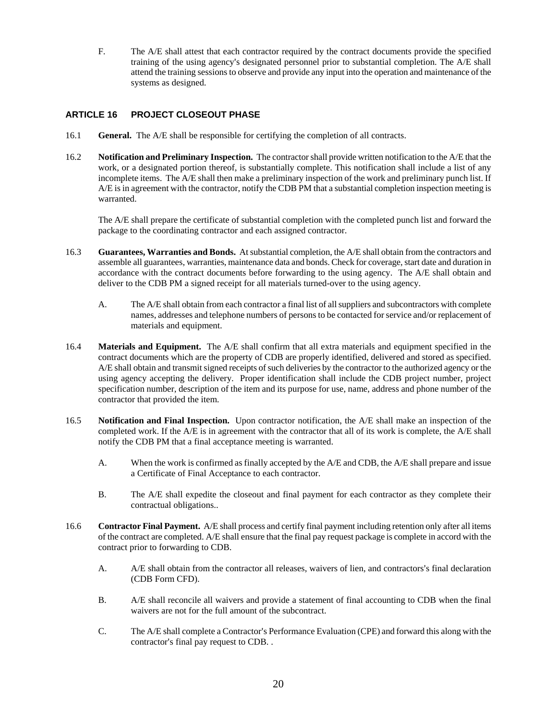F. The A/E shall attest that each contractor required by the contract documents provide the specified training of the using agency's designated personnel prior to substantial completion. The A/E shall attend the training sessions to observe and provide any input into the operation and maintenance of the systems as designed.

## **ARTICLE 16 PROJECT CLOSEOUT PHASE**

- 16.1 **General.** The A/E shall be responsible for certifying the completion of all contracts.
- 16.2 **Notification and Preliminary Inspection.** The contractor shall provide written notification to the A/E that the work, or a designated portion thereof, is substantially complete. This notification shall include a list of any incomplete items. The A/E shall then make a preliminary inspection of the work and preliminary punch list. If A/E is in agreement with the contractor, notify the CDB PM that a substantial completion inspection meeting is warranted.

The A/E shall prepare the certificate of substantial completion with the completed punch list and forward the package to the coordinating contractor and each assigned contractor.

- 16.3 **Guarantees, Warranties and Bonds.** At substantial completion, the A/E shall obtain from the contractors and assemble all guarantees, warranties, maintenance data and bonds. Check for coverage, start date and duration in accordance with the contract documents before forwarding to the using agency. The A/E shall obtain and deliver to the CDB PM a signed receipt for all materials turned-over to the using agency.
	- A. The A/E shall obtain from each contractor a final list of all suppliers and subcontractors with complete names, addresses and telephone numbers of persons to be contacted for service and/or replacement of materials and equipment.
- 16.4 **Materials and Equipment.** The A/E shall confirm that all extra materials and equipment specified in the contract documents which are the property of CDB are properly identified, delivered and stored as specified. A/E shall obtain and transmit signed receipts of such deliveries by the contractor to the authorized agency or the using agency accepting the delivery. Proper identification shall include the CDB project number, project specification number, description of the item and its purpose for use, name, address and phone number of the contractor that provided the item.
- 16.5 **Notification and Final Inspection.** Upon contractor notification, the A/E shall make an inspection of the completed work. If the A/E is in agreement with the contractor that all of its work is complete, the A/E shall notify the CDB PM that a final acceptance meeting is warranted.
	- A. When the work is confirmed as finally accepted by the A/E and CDB, the A/E shall prepare and issue a Certificate of Final Acceptance to each contractor.
	- B. The A/E shall expedite the closeout and final payment for each contractor as they complete their contractual obligations..
- 16.6 **Contractor Final Payment.** A/E shall process and certify final payment including retention only after all items of the contract are completed. A/E shall ensure that the final pay request package is complete in accord with the contract prior to forwarding to CDB.
	- A. A/E shall obtain from the contractor all releases, waivers of lien, and contractors's final declaration (CDB Form CFD).
	- B. A/E shall reconcile all waivers and provide a statement of final accounting to CDB when the final waivers are not for the full amount of the subcontract.
	- C. The A/E shall complete a Contractor's Performance Evaluation (CPE) and forward this along with the contractor's final pay request to CDB. .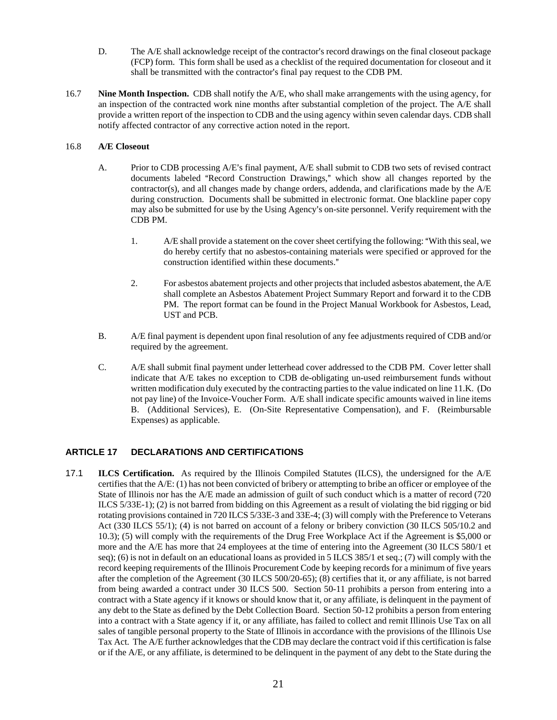- D. The A/E shall acknowledge receipt of the contractor's record drawings on the final closeout package (FCP) form. This form shall be used as a checklist of the required documentation for closeout and it shall be transmitted with the contractor's final pay request to the CDB PM.
- 16.7 **Nine Month Inspection.** CDB shall notify the A/E, who shall make arrangements with the using agency, for an inspection of the contracted work nine months after substantial completion of the project. The A/E shall provide a written report of the inspection to CDB and the using agency within seven calendar days. CDB shall notify affected contractor of any corrective action noted in the report.

#### 16.8 **A/E Closeout**

- A. Prior to CDB processing A/E's final payment, A/E shall submit to CDB two sets of revised contract documents labeled "Record Construction Drawings," which show all changes reported by the contractor(s), and all changes made by change orders, addenda, and clarifications made by the A/E during construction. Documents shall be submitted in electronic format. One blackline paper copy may also be submitted for use by the Using Agency's on-site personnel. Verify requirement with the CDB PM.
	- 1. A/E shall provide a statement on the cover sheet certifying the following: "With this seal, we do hereby certify that no asbestos-containing materials were specified or approved for the construction identified within these documents."
	- 2. For asbestos abatement projects and other projects that included asbestos abatement, the A/E shall complete an Asbestos Abatement Project Summary Report and forward it to the CDB PM. The report format can be found in the Project Manual Workbook for Asbestos, Lead, UST and PCB.
- B. A/E final payment is dependent upon final resolution of any fee adjustments required of CDB and/or required by the agreement.
- C. A/E shall submit final payment under letterhead cover addressed to the CDB PM. Cover letter shall indicate that A/E takes no exception to CDB de-obligating un-used reimbursement funds without written modification duly executed by the contracting parties to the value indicated on line 11.K. (Do not pay line) of the Invoice-Voucher Form. A/E shall indicate specific amounts waived in line items B. (Additional Services), E. (On-Site Representative Compensation), and F. (Reimbursable Expenses) as applicable.

#### **ARTICLE 17 DECLARATIONS AND CERTIFICATIONS**

17.1 **ILCS Certification.** As required by the Illinois Compiled Statutes (ILCS), the undersigned for the A/E certifies that the A/E: (1) has not been convicted of bribery or attempting to bribe an officer or employee of the State of Illinois nor has the A/E made an admission of guilt of such conduct which is a matter of record (720 ILCS 5/33E-1); (2) is not barred from bidding on this Agreement as a result of violating the bid rigging or bid rotating provisions contained in 720 ILCS 5/33E-3 and 33E-4; (3) will comply with the Preference to Veterans Act (330 ILCS 55/1); (4) is not barred on account of a felony or bribery conviction (30 ILCS 505/10.2 and 10.3); (5) will comply with the requirements of the Drug Free Workplace Act if the Agreement is \$5,000 or more and the A/E has more that 24 employees at the time of entering into the Agreement (30 ILCS 580/1 et seq); (6) is not in default on an educational loans as provided in 5 ILCS 385/1 et seq.; (7) will comply with the record keeping requirements of the Illinois Procurement Code by keeping records for a minimum of five years after the completion of the Agreement (30 ILCS 500/20-65); (8) certifies that it, or any affiliate, is not barred from being awarded a contract under 30 ILCS 500. Section 50-11 prohibits a person from entering into a contract with a State agency if it knows or should know that it, or any affiliate, is delinquent in the payment of any debt to the State as defined by the Debt Collection Board. Section 50-12 prohibits a person from entering into a contract with a State agency if it, or any affiliate, has failed to collect and remit Illinois Use Tax on all sales of tangible personal property to the State of Illinois in accordance with the provisions of the Illinois Use Tax Act. The A/E further acknowledges that the CDB may declare the contract void if this certification is false or if the A/E, or any affiliate, is determined to be delinquent in the payment of any debt to the State during the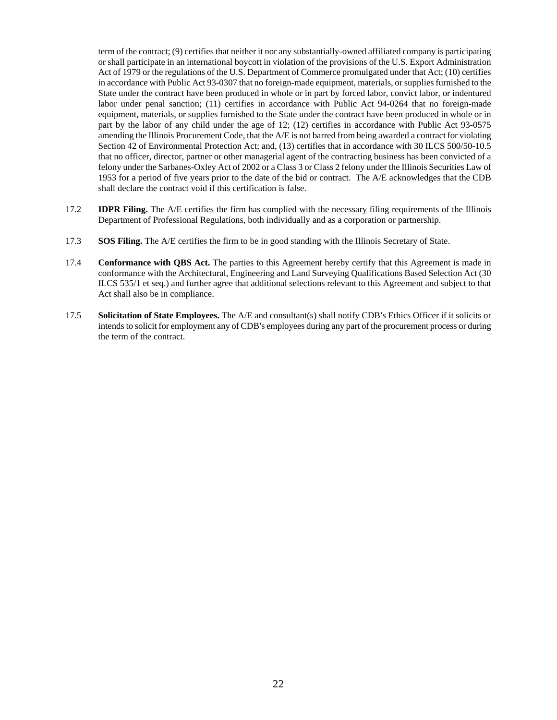term of the contract; (9) certifies that neither it nor any substantially-owned affiliated company is participating or shall participate in an international boycott in violation of the provisions of the U.S. Export Administration Act of 1979 or the regulations of the U.S. Department of Commerce promulgated under that Act; (10) certifies in accordance with Public Act 93-0307 that no foreign-made equipment, materials, or supplies furnished to the State under the contract have been produced in whole or in part by forced labor, convict labor, or indentured labor under penal sanction; (11) certifies in accordance with Public Act 94-0264 that no foreign-made equipment, materials, or supplies furnished to the State under the contract have been produced in whole or in part by the labor of any child under the age of 12; (12) certifies in accordance with Public Act 93-0575 amending the Illinois Procurement Code, that the A/E is not barred from being awarded a contract for violating Section 42 of Environmental Protection Act; and, (13) certifies that in accordance with 30 ILCS 500/50-10.5 that no officer, director, partner or other managerial agent of the contracting business has been convicted of a felony under the Sarbanes-Oxley Act of 2002 or a Class 3 or Class 2 felony under the Illinois Securities Law of 1953 for a period of five years prior to the date of the bid or contract. The A/E acknowledges that the CDB shall declare the contract void if this certification is false.

- 17.2 **IDPR Filing.** The A/E certifies the firm has complied with the necessary filing requirements of the Illinois Department of Professional Regulations, both individually and as a corporation or partnership.
- 17.3 **SOS Filing.** The A/E certifies the firm to be in good standing with the Illinois Secretary of State.
- 17.4 **Conformance with QBS Act.** The parties to this Agreement hereby certify that this Agreement is made in conformance with the Architectural, Engineering and Land Surveying Qualifications Based Selection Act (30 ILCS 535/1 et seq.) and further agree that additional selections relevant to this Agreement and subject to that Act shall also be in compliance.
- 17.5 **Solicitation of State Employees.** The A/E and consultant(s) shall notify CDB's Ethics Officer if it solicits or intends to solicit for employment any of CDB's employees during any part of the procurement process or during the term of the contract.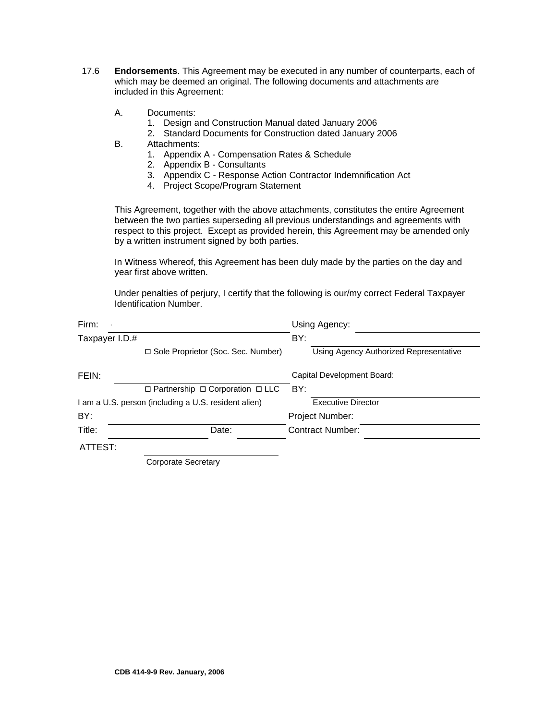- 17.6 **Endorsements**. This Agreement may be executed in any number of counterparts, each of which may be deemed an original. The following documents and attachments are included in this Agreement:
	- A. Documents:
		- 1. Design and Construction Manual dated January 2006
		- 2. Standard Documents for Construction dated January 2006
	- B. Attachments:
		- 1. Appendix A Compensation Rates & Schedule
		- 2. Appendix B Consultants
		- 3. Appendix C Response Action Contractor Indemnification Act
		- 4. Project Scope/Program Statement

This Agreement, together with the above attachments, constitutes the entire Agreement between the two parties superseding all previous understandings and agreements with respect to this project. Except as provided herein, this Agreement may be amended only by a written instrument signed by both parties.

In Witness Whereof, this Agreement has been duly made by the parties on the day and year first above written.

Under penalties of perjury, I certify that the following is our/my correct Federal Taxpayer Identification Number.

|                                                      | Using Agency:                          |
|------------------------------------------------------|----------------------------------------|
| Taxpayer I.D.#                                       | BY:                                    |
| □ Sole Proprietor (Soc. Sec. Number)                 | Using Agency Authorized Representative |
|                                                      | Capital Development Board:             |
| $\Box$ Partnership $\Box$ Corporation $\Box$ LLC     | BY:                                    |
| I am a U.S. person (including a U.S. resident alien) | <b>Executive Director</b>              |
|                                                      | Project Number:                        |
| Date:                                                | <b>Contract Number:</b>                |
| ATTEST:                                              |                                        |
|                                                      |                                        |

Corporate Secretary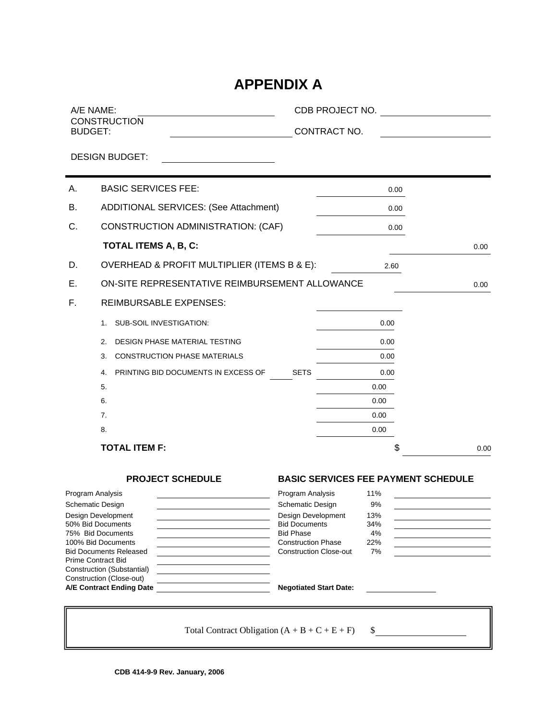## **APPENDIX A**

|    | A/E NAME:<br><b>CONSTRUCTION</b>                           | CDB PROJECT NO.                          |                                            |      |
|----|------------------------------------------------------------|------------------------------------------|--------------------------------------------|------|
|    | <b>BUDGET:</b>                                             | CONTRACT NO.                             |                                            |      |
|    | <b>DESIGN BUDGET:</b>                                      |                                          |                                            |      |
|    |                                                            |                                          |                                            |      |
| Α. | <b>BASIC SERVICES FEE:</b>                                 |                                          | 0.00                                       |      |
| В. | <b>ADDITIONAL SERVICES: (See Attachment)</b>               |                                          | 0.00                                       |      |
| C. | <b>CONSTRUCTION ADMINISTRATION: (CAF)</b>                  |                                          | 0.00                                       |      |
|    | <b>TOTAL ITEMS A, B, C:</b>                                |                                          |                                            | 0.00 |
| D. | OVERHEAD & PROFIT MULTIPLIER (ITEMS B & E):                |                                          | 2.60                                       |      |
| Е. | ON-SITE REPRESENTATIVE REIMBURSEMENT ALLOWANCE             |                                          |                                            | 0.00 |
| F. | <b>REIMBURSABLE EXPENSES:</b>                              |                                          |                                            |      |
|    | <b>SUB-SOIL INVESTIGATION:</b><br>1.                       |                                          | 0.00                                       |      |
|    | DESIGN PHASE MATERIAL TESTING<br>2.                        |                                          | 0.00                                       |      |
|    | <b>CONSTRUCTION PHASE MATERIALS</b><br>3.                  |                                          | 0.00                                       |      |
|    | PRINTING BID DOCUMENTS IN EXCESS OF<br>4.                  | <b>SETS</b>                              | 0.00                                       |      |
|    | 5.                                                         |                                          | 0.00                                       |      |
|    | 6.                                                         |                                          | 0.00                                       |      |
|    | 7.                                                         |                                          | 0.00                                       |      |
|    | 8.                                                         |                                          | 0.00                                       |      |
|    | <b>TOTAL ITEM F:</b>                                       |                                          | \$                                         | 0.00 |
|    | <b>PROJECT SCHEDULE</b>                                    |                                          | <b>BASIC SERVICES FEE PAYMENT SCHEDULE</b> |      |
|    | Program Analysis                                           | Program Analysis                         | 11%                                        |      |
|    | Schematic Design                                           | <b>Schematic Design</b>                  | 9%                                         |      |
|    | Design Development<br>50% Bid Documents                    | Design Development                       | 13%                                        |      |
|    | 75% Bid Documents                                          | <b>Bid Documents</b><br><b>Bid Phase</b> | 34%<br>4%                                  |      |
|    | 100% Bid Documents                                         | <b>Construction Phase</b>                | 22%                                        |      |
|    | <b>Bid Documents Released</b><br><b>Prime Contract Bid</b> | <b>Construction Close-out</b>            | 7%                                         |      |
|    | Construction (Substantial)                                 |                                          |                                            |      |
|    | Construction (Close-out)<br>A/E Contract Ending Date       | <b>Negotiated Start Date:</b>            |                                            |      |
|    |                                                            |                                          |                                            |      |
|    |                                                            |                                          |                                            |      |
|    | Total Contract Obligation $(A + B + C + E + F)$            |                                          | \$                                         |      |
|    |                                                            |                                          |                                            |      |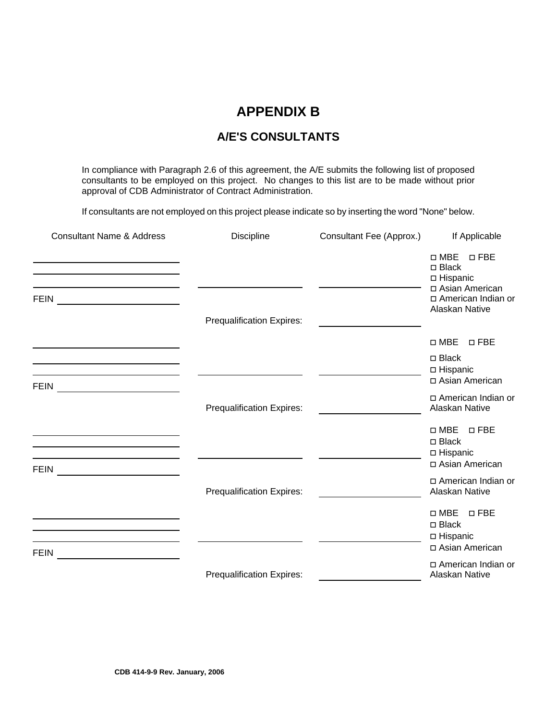## **APPENDIX B**

## **A/E'S CONSULTANTS**

In compliance with Paragraph 2.6 of this agreement, the A/E submits the following list of proposed consultants to be employed on this project. No changes to this list are to be made without prior approval of CDB Administrator of Contract Administration.

If consultants are not employed on this project please indicate so by inserting the word "None" below.

| <b>Consultant Name &amp; Address</b>                                                                                                 | Discipline                       | Consultant Fee (Approx.) | If Applicable                                                                                                         |
|--------------------------------------------------------------------------------------------------------------------------------------|----------------------------------|--------------------------|-----------------------------------------------------------------------------------------------------------------------|
| <b>FEIN</b>                                                                                                                          | <b>Prequalification Expires:</b> |                          | $\square$ MBE<br>$\square$ FBE<br>□ Black<br>□ Hispanic<br>□ Asian American<br>□ American Indian or<br>Alaskan Native |
|                                                                                                                                      |                                  |                          | $\square$ MBE<br>$\square$ FBE                                                                                        |
| <u> 1989 - Johann Stoff, deutscher Stoff, der Stoff, der Stoff, der Stoff, der Stoff, der Stoff, der Stoff, der S</u><br><b>FEIN</b> |                                  |                          | $\Box$ Black<br>□ Hispanic<br>□ Asian American                                                                        |
| <u> 1980 - Andrea Station Barbara, politik eta provincia eta provincia eta provincia eta provincia eta provincia</u>                 | Prequalification Expires:        |                          | □ American Indian or<br>Alaskan Native                                                                                |
| <u> 1989 - Johann Stein, mars an deus Amerikaansk kommunister (</u><br><b>FEIN</b>                                                   |                                  |                          | $\square$ MBE<br>$\square$ FBE<br>$\Box$ Black<br>□ Hispanic<br>□ Asian American                                      |
|                                                                                                                                      | <b>Prequalification Expires:</b> |                          | □ American Indian or<br>Alaskan Native                                                                                |
| <b>FEIN</b>                                                                                                                          |                                  |                          | $\Box$ MBE<br>$\square$ FBE<br>□ Black<br>□ Hispanic<br>□ Asian American                                              |
|                                                                                                                                      | Prequalification Expires:        |                          | □ American Indian or<br>Alaskan Native                                                                                |